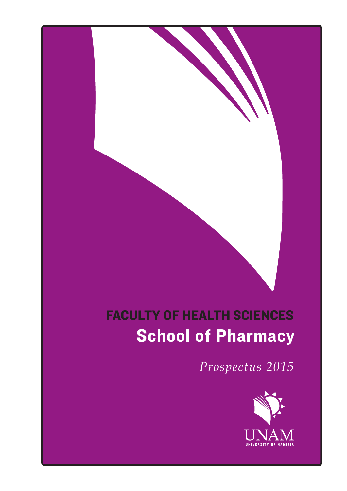## **School of Pharmacy** FACULTY OF HEALTH SCIENCES

*Prospectus 2015*

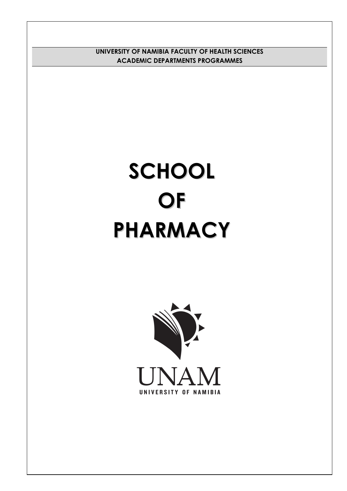**UNIVERSITY OF NAMIBIA FACULTY OF HEALTH SCIENCES ACADEMIC DEPARTMENTS PROGRAMMES**

# **SCHOOL OF PHARMACY**

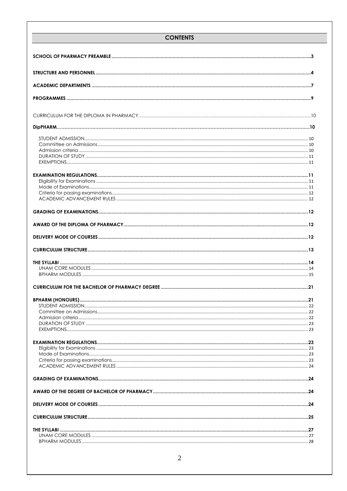#### **CONTENTS**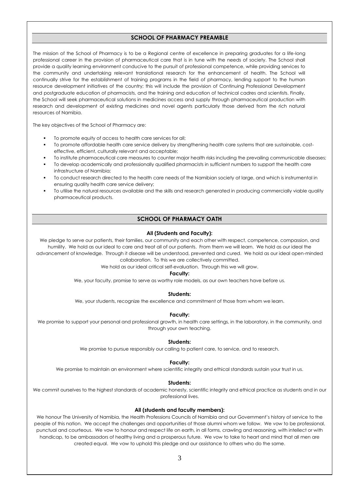#### **SCHOOL OF PHARMACY PREAMBLE**

<span id="page-3-0"></span>The mission of the School of Pharmacy is to be a Regional centre of excellence in preparing graduates for a life-long professional career in the provision of pharmaceutical care that is in tune with the needs of society. The School shall provide a quality learning environment conducive to the pursuit of professional competence, while providing services to the community and undertaking relevant translational research for the enhancement of health. The School will continually strive for the establishment of training programs in the field of pharmacy, lending support to the human resource development initiatives of the country; this will include the provision of Continuing Professional Development and postgraduate education of pharmacists, and the training and education of technical cadres and scientists. Finally, the School will seek pharmaceutical solutions in medicines access and supply through pharmaceutical production with research and development of existing medicines and novel agents particularly those derived from the rich natural resources of Namibia.

The key objectives of the School of Pharmacy are:

- To promote equity of access to health care services for all;
- To promote affordable health care service delivery by strengthening health care systems that are sustainable, costeffective, efficient, culturally relevant and acceptable;
- To institute pharmaceutical care measures to counter major health risks including the prevailing communicable diseases;
- To develop academically and professionally qualified pharmacists in sufficient numbers to support the health care infrastructure of Namibia;
- To conduct research directed to the health care needs of the Namibian society at large, and which is instrumental in ensuring quality health care service delivery;
- To utilise the natural resources available and the skills and research generated in producing commercially viable quality pharmaceutical products.

#### **SCHOOL OF PHARMACY OATH**

#### **All (Students and Faculty):**

We pledge to serve our patients, their families, our community and each other with respect, competence, compassion, and humility. We hold as our ideal to care and treat all of our patients. From them we will learn. We hold as our ideal the advancement of knowledge. Through it disease will be understood, prevented and cured. We hold as our ideal open-minded collaboration. To this we are collectively committed.

We hold as our ideal critical self-evaluation. Through this we will grow.

#### **Faculty:**

We, your faculty, promise to serve as worthy role models, as our own teachers have before us.

#### **Students:**

We, your students, recognize the excellence and commitment of those from whom we learn.

#### **Faculty:**

We promise to support your personal and professional growth, in health care settings, in the laboratory, in the community, and through your own teaching.

#### **Students:**

We promise to pursue responsibly our calling to patient care, to service, and to research.

#### **Faculty:**

We promise to maintain an environment where scientific integrity and ethical standards sustain your trust in us.

#### **Students:**

We commit ourselves to the highest standards of academic honesty, scientific integrity and ethical practice as students and in our professional lives.

#### **All (students and faculty members):**

We honour The University of Namibia, the Health Professions Councils of Namibia and our Government's history of service to the people of this nation. We accept the challenges and opportunities of those alumni whom we follow. We vow to be professional, punctual and courteous. We vow to honour and respect life on earth, in all forms, crawling and reasoning, with intellect or with handicap, to be ambassadors of healthy living and a prosperous future. We vow to take to heart and mind that all men are created equal. We vow to uphold this pledge and our assistance to others who do the same.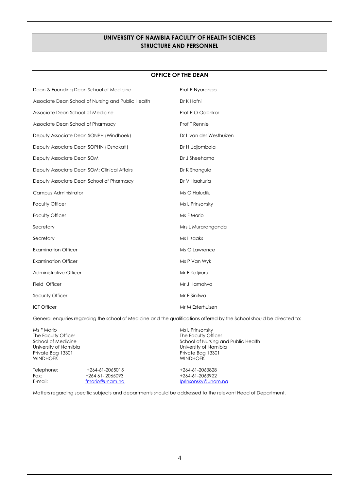#### **UNIVERSITY OF NAMIBIA FACULTY OF HEALTH SCIENCES STRUCTURE AND PERSONNEL**

#### **OFFICE OF THE DEAN**

| Dean & Founding Dean School of Medicine            | Prof P Nyarango         |
|----------------------------------------------------|-------------------------|
| Associate Dean School of Nursing and Public Health | Dr K Hofni              |
| Associate Dean School of Medicine                  | Prof P O Odonkor        |
| Associate Dean School of Pharmacy                  | Prof T Rennie           |
| Deputy Associate Dean SONPH (Windhoek)             | Dr L van der Westhuizen |
| Deputy Associate Dean SOPHN (Oshakati)             | Dr H Udjombala          |
| Deputy Associate Dean SOM                          | Dr J Sheehama           |
| Deputy Associate Dean SOM: Clinical Affairs        | Dr K Shangula           |
| Deputy Associate Dean School of Pharmacy           | Dr V Haakuria           |
| Campus Administrator                               | Ms O Haludilu           |
| <b>Faculty Officer</b>                             | Ms L Prinsonsky         |
| <b>Faculty Officer</b>                             | Ms F Mario              |
| Secretary                                          | Mrs L Muraranganda      |
| Secretary                                          | Ms I Isaaks             |
| <b>Examination Officer</b>                         | Ms G Lawrence           |
| <b>Examination Officer</b>                         | Ms P Van Wyk            |
| Administrative Officer                             | Mr F Katjiruru          |
| Field Officer                                      | Mr J Hamalwa            |
| Security Officer                                   | Mr E Sinifwa            |
| <b>ICT Officer</b>                                 | Mr M Esterhuizen        |

General enquiries regarding the school of Medicine and the qualifications offered by the School should be directed to:

Ms F Mario Ms L Prinsonsky<br>
The Faculty Officer The Faculty Officer Studies and Ms L Prinsonsky<br>
The Faculty Officer The Faculty Officer School of Medicine School of Medicine School of Nursing and Public Health<br>
University of Namibia School of Nursing and Public Health<br>
University of Namibia University of Namibia Private Bag 13301 Private Bag 13301 WINDHOEK WINDHOEK Telephone: +264-61-2065015 +264-61-2065015<br>Fax: +264-61-2065093 +264-61-2063922 Fax: +264 61- 2065093<br>E-mail: f<u>mario@unam.na</u> Iprinsonsky@unam.na

Matters regarding specific subjects and departments should be addressed to the relevant Head of Department.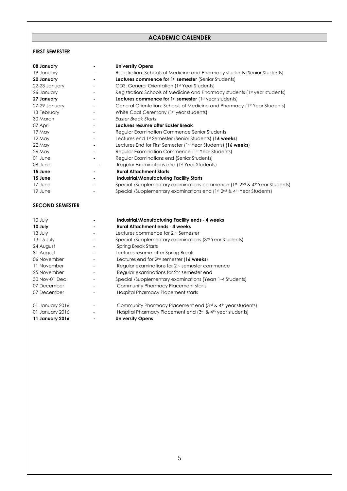#### **ACADEMIC CALENDER**

#### <span id="page-5-0"></span>**FIRST SEMESTER**

| 08 January    | <b>University Opens</b>                                                     |
|---------------|-----------------------------------------------------------------------------|
| 19 January    | Registration: Schools of Medicine and Pharmacy students (Senior Students)   |
| 20 January    | <b>Lectures commence for 1st semester</b> (Senior Students)                 |
| 22-23 January | ODS: General Orientation (1st Year Students)                                |
| 26 January    | Registration: Schools of Medicine and Pharmacy students (1st year students) |
| 27 January    | Lectures commence for $1st$ semester ( $1st$ year students)                 |
| 27-29 January | General Orientation: Schools of Medicine and Pharmacy (1st Year Students)   |
| 13 February   | White Coat Ceremony (1st year students)                                     |
| 30 March      | Easter Break Starts                                                         |
| 07 April      | Lectures resume after Easter Break                                          |
| 19 May        | Regular Examination Commence Senior Students                                |
| 12 May        | Lectures end 1st Semester (Senior Students) (16 weeks)                      |
| 22 May        | Lectures End for First Semester (1st Year Students) (16 weeks)              |
| 26 May        | Regular Examination Commence (1st Year Students)                            |
| 01 June       | Regular Examinations end (Senior Students)                                  |
| 08 June       | Regular Examinations end (1st Year Students)                                |
| 15 June       | <b>Rural Attachment Starts</b>                                              |
| 15 June       | <b>Industrial/Manufacturing Facility Starts</b>                             |
| 17 June       | Special /Supplementary examinations commence (1st, 2nd & 4th Year Students) |
| 19 June       | Special /Supplementary examinations end (1st 2nd & 4th Year Students)       |

#### **SECOND SEMESTER**

| 10 July         | Industrial/Manufacturing Facility ends - 4 weeks                    |
|-----------------|---------------------------------------------------------------------|
| 10 July         | <b>Rural Attachment ends - 4 weeks</b>                              |
| 13 July         | Lectures commence for 2nd Semester                                  |
| 13-15 July      | Special /Supplementary examinations (3 <sup>rd</sup> Year Students) |
| 24 August       | Spring Break Starts                                                 |
| 31 August       | Lectures resume after Spring Break                                  |
| 06 November     | Lectures end for $2^{nd}$ semester (16 weeks)                       |
| 11 November     | Regular examinations for 2 <sup>nd</sup> semester commence          |
| 25 November     | Regular examinations for 2 <sup>nd</sup> semester end               |
| 30 Nov-01 Dec   | Special /Supplementary examinations (Years 1-4 Students)            |
| 07 December     | Community Pharmacy Placement starts                                 |
| 07 December     | Hospital Pharmacy Placement starts                                  |
| 01 January 2016 | Community Pharmacy Placement end (3rd & 4th year students)          |
| 01 January 2016 | Hospital Pharmacy Placement end (3rd & 4th year students)           |
| 11 January 2016 | <b>University Opens</b>                                             |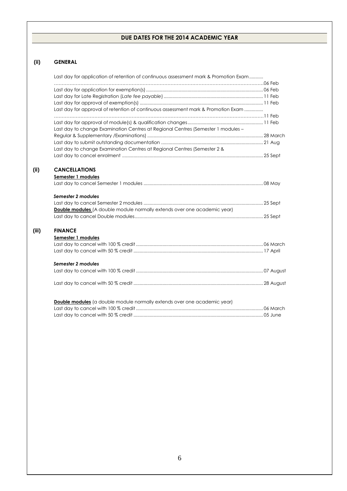#### **DUE DATES FOR THE 2014 ACADEMIC YEAR**

#### **(ii) GENERAL**

**(ii) CANCELLATIONS**

**(iii) FINANCE**

| Last day for application of retention of continuous assessment mark & Promotion Exam |  |
|--------------------------------------------------------------------------------------|--|
|                                                                                      |  |
|                                                                                      |  |
|                                                                                      |  |
|                                                                                      |  |
| Last day for approval of retention of continuous assessment mark & Promotion Exam    |  |
|                                                                                      |  |
|                                                                                      |  |
| Last day to change Examination Centres at Regional Centres (Semester 1 modules -     |  |
|                                                                                      |  |
|                                                                                      |  |
| Last day to change Examination Centres at Regional Centres (Semester 2 &             |  |
|                                                                                      |  |
| <b>CANCELLATIONS</b>                                                                 |  |
| Semester 1 modules                                                                   |  |
|                                                                                      |  |
|                                                                                      |  |
| Semester 2 modules                                                                   |  |
|                                                                                      |  |
| <b>Double modules</b> (A double module normally extends over one academic year)      |  |
|                                                                                      |  |
| <b>FINANCE</b>                                                                       |  |
| Semester 1 modules                                                                   |  |
|                                                                                      |  |
|                                                                                      |  |
|                                                                                      |  |
| Semester 2 modules                                                                   |  |
|                                                                                      |  |
|                                                                                      |  |
| <b>Double modules</b> (a double module normally extends over one academic year)      |  |
|                                                                                      |  |
|                                                                                      |  |

Last day to cancel with 50 % credit ....................................................................................................... 05 June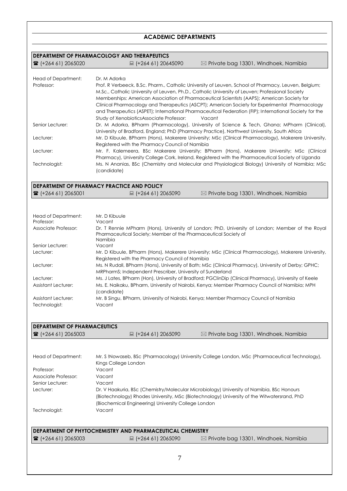### **ACADEMIC DEPARTMENTS**

<span id="page-7-0"></span>

|                                               | DEPARTMENT OF PHARMACOLOGY AND THERAPEUTICS                                                                                                             |                                                                                                                                                                                                   |  |  |  |  |
|-----------------------------------------------|---------------------------------------------------------------------------------------------------------------------------------------------------------|---------------------------------------------------------------------------------------------------------------------------------------------------------------------------------------------------|--|--|--|--|
| ■ (+264 61) 2065020                           | ■ (+264 61) 20645090                                                                                                                                    | $\boxtimes$ Private bag 13301, Windhoek, Namibia                                                                                                                                                  |  |  |  |  |
| Head of Department:                           | Dr. M Adorka                                                                                                                                            |                                                                                                                                                                                                   |  |  |  |  |
| Professor:                                    |                                                                                                                                                         | Prof. R Verbeeck, B.Sc. Pharm., Catholic University of Leuven, School of Pharmacy, Leuven, Belgium;                                                                                               |  |  |  |  |
|                                               |                                                                                                                                                         | M.Sc., Catholic University of Leuven, Ph.D., Catholic University of Leuven; Professional Society                                                                                                  |  |  |  |  |
|                                               |                                                                                                                                                         | Memberships: American Association of Pharmaceutical Scientists (AAPS); American Society for                                                                                                       |  |  |  |  |
|                                               |                                                                                                                                                         | Clinical Pharmacology and Therapeutics (ASCPT); American Society for Experimental Pharmacology                                                                                                    |  |  |  |  |
|                                               |                                                                                                                                                         | and Therapeutics (ASPET); International Pharmaceutical Federation (FIP); International Society for the                                                                                            |  |  |  |  |
|                                               | Study of XenobioticsAssociate Professor:                                                                                                                | Vacant                                                                                                                                                                                            |  |  |  |  |
| Senior Lecturer:                              |                                                                                                                                                         | Dr. M Adorka, BPharm (Pharmacology), University of Science & Tech, Ghana; MPharm (Clinical),                                                                                                      |  |  |  |  |
|                                               | University of Bradford, England; PhD (Pharmacy Practice), Northwest University, South Africa                                                            |                                                                                                                                                                                                   |  |  |  |  |
| Lecturer:                                     |                                                                                                                                                         | Mr. D Kibuule, BPharm (Hons), Makerere University; MSc (Clinical Pharmacology), Makerere University,                                                                                              |  |  |  |  |
| Lecturer:                                     | Registered with the Pharmacy Council of Namibia                                                                                                         |                                                                                                                                                                                                   |  |  |  |  |
|                                               |                                                                                                                                                         | Mr. F. Kalemeera, BSc Makerere University; BPharm (Hons), Makerere University; MSc (Clinical<br>Pharmacy), University College Cork, Ireland, Registered with the Pharmaceutical Society of Uganda |  |  |  |  |
| Technologist:                                 |                                                                                                                                                         | Ms. N Ananias, BSc (Chemistry and Molecular and Physiological Biology) University of Namibia; MSc                                                                                                 |  |  |  |  |
|                                               | (candidate)                                                                                                                                             |                                                                                                                                                                                                   |  |  |  |  |
|                                               |                                                                                                                                                         |                                                                                                                                                                                                   |  |  |  |  |
|                                               | DEPARTMENT OF PHARMACY PRACTICE AND POLICY                                                                                                              |                                                                                                                                                                                                   |  |  |  |  |
| ■ (+264 61) 2065001                           | ■ (+264 61) 2065090                                                                                                                                     | $\boxtimes$ Private bag 13301, Windhoek, Namibia                                                                                                                                                  |  |  |  |  |
|                                               |                                                                                                                                                         |                                                                                                                                                                                                   |  |  |  |  |
|                                               |                                                                                                                                                         |                                                                                                                                                                                                   |  |  |  |  |
| Head of Department:<br>Professor:             | Mr. D Kibuule<br>Vacant                                                                                                                                 |                                                                                                                                                                                                   |  |  |  |  |
| Associate Professor:                          |                                                                                                                                                         | Dr. T Rennie MPharm (Hons), University of London; PhD, University of London; Member of the Royal                                                                                                  |  |  |  |  |
|                                               | Pharmaceutical Society; Member of the Pharmaceutical Society of                                                                                         |                                                                                                                                                                                                   |  |  |  |  |
|                                               | Namibia                                                                                                                                                 |                                                                                                                                                                                                   |  |  |  |  |
| Senior Lecturer:                              | Vacant                                                                                                                                                  |                                                                                                                                                                                                   |  |  |  |  |
| Lecturer:                                     |                                                                                                                                                         | Mr. D Kibuule, BPharm (Hons), Makerere University; MSc (Clinical Pharmacology), Makerere University,                                                                                              |  |  |  |  |
|                                               | Registered with the Pharmacy Council of Namibia<br>Ms. N Rudall, BPharm (Hons), University of Bath; MSc (Clinical Pharmacy), University of Derby; GPHC; |                                                                                                                                                                                                   |  |  |  |  |
| Lecturer:                                     | MRPharmS; Independent Prescriber, University of Sunderland                                                                                              |                                                                                                                                                                                                   |  |  |  |  |
| Lecturer:                                     |                                                                                                                                                         | Ms. J Lates, BPharm (Hon), University of Bradford; PGClinDip (Clinical Pharmacy), University of Keele                                                                                             |  |  |  |  |
| <b>Assistant Lecturer:</b>                    |                                                                                                                                                         | Ms. E. Naikaku, BPharm, University of Nairobi, Kenya; Member Pharmacy Council of Namibia; MPH                                                                                                     |  |  |  |  |
|                                               | (candidate)                                                                                                                                             |                                                                                                                                                                                                   |  |  |  |  |
| Assistant Lecturer:                           | Mr. B Singu, BPharm, University of Nairobi, Kenya; Member Pharmacy Council of Namibia                                                                   |                                                                                                                                                                                                   |  |  |  |  |
| Technologist:                                 | Vacant                                                                                                                                                  |                                                                                                                                                                                                   |  |  |  |  |
|                                               |                                                                                                                                                         |                                                                                                                                                                                                   |  |  |  |  |
|                                               |                                                                                                                                                         |                                                                                                                                                                                                   |  |  |  |  |
| <b>DEPARTMENT OF PHARMACEUTICS</b><br>2065003 | ■ (+264 61) 2065090                                                                                                                                     | $\boxtimes$ Private bag 13301, Windhoek, Namibia                                                                                                                                                  |  |  |  |  |
|                                               |                                                                                                                                                         |                                                                                                                                                                                                   |  |  |  |  |
|                                               |                                                                                                                                                         |                                                                                                                                                                                                   |  |  |  |  |
| Head of Department:                           |                                                                                                                                                         | Mr. S !Nowaseb, BSc (Pharmacology) University College London, MSc (Pharmaceutical Technology),                                                                                                    |  |  |  |  |
|                                               | Kings College London                                                                                                                                    |                                                                                                                                                                                                   |  |  |  |  |
| Professor:                                    | Vacant                                                                                                                                                  |                                                                                                                                                                                                   |  |  |  |  |
| Associate Professor:                          | Vacant                                                                                                                                                  |                                                                                                                                                                                                   |  |  |  |  |
| Senior Lecturer:                              | Vacant                                                                                                                                                  |                                                                                                                                                                                                   |  |  |  |  |
| Lecturer:                                     | Dr. V Haakuria, BSc (Chemistry/Molecular Microbiology) University of Namibia, BSc Honours                                                               |                                                                                                                                                                                                   |  |  |  |  |
|                                               |                                                                                                                                                         | (Biotechnology) Rhodes University, MSc (Biotechnology) University of the Witwatersrand, PhD                                                                                                       |  |  |  |  |
|                                               | (Biochemical Engineering) University College London                                                                                                     |                                                                                                                                                                                                   |  |  |  |  |
|                                               | Vacant                                                                                                                                                  |                                                                                                                                                                                                   |  |  |  |  |
| Technologist:                                 |                                                                                                                                                         |                                                                                                                                                                                                   |  |  |  |  |
|                                               |                                                                                                                                                         |                                                                                                                                                                                                   |  |  |  |  |
|                                               | <b>DEPARTMENT OF PHYTOCHEMISTRY AND PHARMACEUTICAL CHEMISTRY</b>                                                                                        |                                                                                                                                                                                                   |  |  |  |  |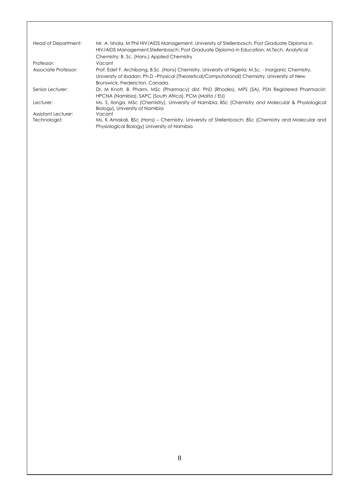| Head of Department:  | Mr. A. Ishola, M Phil HIV/AIDS Management, University of Stellenbosch; Post Graduate Diploma in<br>HIV/AIDS Management, Stellenbosch; Post Graduate Diploma in Education; M.Tech. Analytical                                            |
|----------------------|-----------------------------------------------------------------------------------------------------------------------------------------------------------------------------------------------------------------------------------------|
| Professor:           | Chemistry; B. Sc. (Hons.) Applied Chemistry<br>Vacant                                                                                                                                                                                   |
| Associate Professor: | Prof. Edet F. Archibong, B.Sc. (Hons) Chemistry, University of Nigeria; M.Sc. - Inorganic Chemistry,<br>University of Ibadan; Ph.D-Physical (Theoretical/Computational) Chemistry, University of New<br>Brunswick, Fredericton, Canada. |
| Senior Lecturer:     | Dr. M Knott, B. Pharm, MSc (Pharmacy) dist, PhD (Rhodes), MPS (SA), PSN Registered Pharmacist:<br>HPCNA (Namibia), SAPC (South Africa), PCM (Malta / EU)                                                                                |
| Lecturer:            | Ms. S. Ilonga, MSc (Chemistry), University of Namibia; BSc (Chemistry and Molecular & Physiological<br>Biology), University of Namibia                                                                                                  |
| Assistant Lecturer:  | Vacant                                                                                                                                                                                                                                  |
| Technologist:        | Ms. K Amakali, BSc (Hons) – Chemistry, University of Stellenbosch; BSc (Chemistry and Molecular and<br>Physiological Biology) University of Namibia                                                                                     |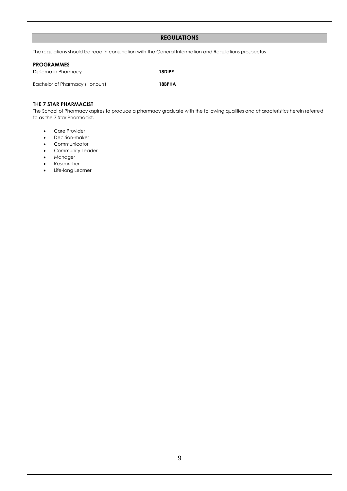#### **REGULATIONS**

The regulations should be read in conjunction with the General Information and Regulations prospectus

#### <span id="page-9-0"></span>**PROGRAMMES**

Diploma in Pharmacy **18DIPP**

Bachelor of Pharmacy (Honours) **18BPHA**

#### **THE 7 STAR PHARMACIST**

The School of Pharmacy aspires to produce a pharmacy graduate with the following qualities and characteristics herein referred to as the 7 Star Pharmacist.

- Care Provider
- Decision-maker
- **•** Communicator
- **•** Community Leader
- Manager
- Researcher
- Life-long Learner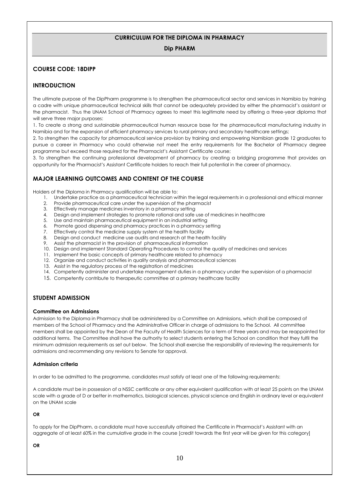#### **CURRICULUM FOR THE DIPLOMA IN PHARMACY**

#### **Dip PHARM**

#### **COURSE CODE: 18DIPP**

#### **INTRODUCTION**

The ultimate purpose of the DipPharm programme is to strengthen the pharmaceutical sector and services in Namibia by training a cadre with unique pharmaceutical technical skills that cannot be adequately provided by either the pharmacist's assistant or the pharmacist. Thus the UNAM School of Pharmacy agrees to meet this legitimate need by offering a three-year diploma that will serve three major purposes:

1. To create a strong and sustainable pharmaceutical human resource base for the pharmaceutical manufacturing industry in Namibia and for the expansion of efficient pharmacy services to rural primary and secondary healthcare settings;

2. To strengthen the capacity for pharmaceutical service provision by training and empowering Namibian grade 12 graduates to pursue a career in Pharmacy who could otherwise not meet the entry requirements for the Bachelor of Pharmacy degree programme but exceed those required for the Pharmacist's Assistant Certificate course;

3. To strengthen the continuing professional development of pharmacy by creating a bridging programme that provides an opportunity for the Pharmacist's Assistant Certificate holders to reach their full potential in the career of pharmacy.

#### **MAJOR LEARNING OUTCOMES AND CONTENT OF THE COURSE**

Holders of the Diploma in Pharmacy qualification will be able to:

- 1. Undertake practice as a pharmaceutical technician within the legal requirements in a professional and ethical manner
- 2. Provide pharmaceutical care under the supervision of the pharmacist
- 3. Effectively manage medicines inventory in a pharmacy setting
- 4. Design and implement strategies to promote rational and safe use of medicines in healthcare
- 5. Use and maintain pharmaceutical equipment in an industrial setting
- 6. Promote good dispensing and pharmacy practices in a pharmacy setting
- 7. Effectively control the medicine supply system at the health facility
- 8. Design and conduct medicine use audits and research at the health facility
- 9. Assist the pharmacist in the provision of pharmaceutical information
- 10. Design and implement Standard Operating Procedures to control the quality of medicines and services
- 11. Implement the basic concepts of primary healthcare related to pharmacy
- 12. Organize and conduct activities in quality analysis and pharmaceutical sciences
- 13. Assist in the regulatory process of the registration of medicines
- 14. Competently administer and undertake management duties in a pharmacy under the supervision of a pharmacist
- 15. Competently contribute to therapeutic committee at a primary healthcare facility

#### **STUDENT ADMISSION**

#### **Committee on Admissions**

Admission to the Diploma in Pharmacy shall be administered by a Committee on Admissions, which shall be composed of members of the School of Pharmacy and the Administrative Officer in charge of admissions to the School. All committee members shall be appointed by the Dean of the Faculty of Health Sciences for a term of three years and may be reappointed for additional terms. The Committee shall have the authority to select students entering the School on condition that they fulfil the minimum admission requirements as set out below. The School shall exercise the responsibility of reviewing the requirements for admissions and recommending any revisions to Senate for approval.

#### **Admission criteria**

In order to be admitted to the programme, candidates must satisfy at least one of the following requirements:

A candidate must be in possession of a NSSC certificate or any other equivalent qualification with at least 25 points on the UNAM scale with a grade of D or better in mathematics, biological sciences, physical science and English in ordinary level or equivalent on the UNAM scale

#### **OR**

To apply for the DipPharm, a candidate must have successfully attained the Certificate in Pharmacist's Assistant with an aggregate of at least 60% in the cumulative grade in the course [credit towards the first year will be given for this category]

#### **OR**

10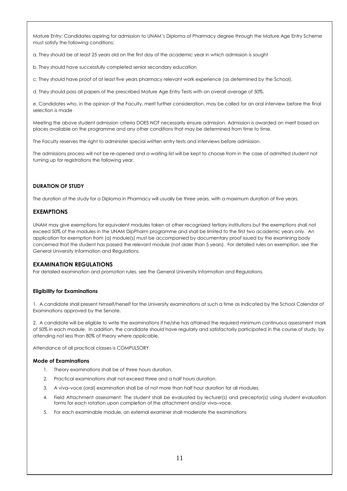Mature Entry: Candidates aspiring for admission to UNAM's Diploma of Pharmacy degree through the Mature Age Entry Scheme must satisfy the following conditions:

a. They should be at least 25 years old on the first day of the academic year in which admission is sought

b. They should have successfully completed senior secondary education

c. They should have proof of at least five years pharmacy relevant work experience (as determined by the School).

d. They should pass all papers of the prescribed Mature Age Entry Tests with an overall average of 50%.

e. Candidates who, in the opinion of the Faculty, merit further consideration, may be called for an oral interview before the final selection is made

Meeting the above student admission criteria DOES NOT necessarily ensure admission. Admission is awarded on merit based on places available on the programme and any other conditions that may be determined from time to time.

The Faculty reserves the right to administer special written entry tests and interviews before admission.

The admissions process will not be re-opened and a waiting list will be kept to choose from in the case of admitted student not turning up for registrations the following year.

#### **DURATION OF STUDY**

The duration of the study for a Diploma in Pharmacy will usually be three years, with a maximum duration of five years.

#### **EXEMPTIONS**

UNAM may give exemptions for equivalent modules taken at other recognized tertiary institutions but the exemptions shall not exceed 50% of the modules in the UNAM DipPharm programme and shall be limited to the first two academic years only. An application for exemption from (a) module(s) must be accompanied by documentary proof issued by the examining body concerned that the student has passed the relevant module (not older than 5 years). For detailed rules on exemption, see the General University Information and Regulations.

#### **EXAMINATION REGULATIONS**

For detailed examination and promotion rules, see the General University Information and Regulations.

#### **Eligibility for Examinations**

1. A candidate shall present himself/herself for the University examinations at such a time as indicated by the School Calendar of Examinations approved by the Senate.

2. A candidate will be eligible to write the examinations if he/she has attained the required minimum continuous assessment mark of 50% in each module. In addition, the candidate should have regularly and satisfactorily participated in the course of study, by attending not less than 80% of theory where applicable.

Attendance of all practical classes is COMPULSORY.

#### **Mode of Examinations**

- 1. Theory examinations shall be of three hours duration.
- 2. Practical examinations shall not exceed three and a half hours duration.
- 3. A viva–voce (oral) examination shall be of not more than half hour duration for all modules.
- 4. Field Attachment assessment: The student shall be evaluated by lecturer(s) and preceptor(s) using student evaluation forms for each rotation upon completion of the attachment and/or viva–voce.
- 5. For each examinable module, an external examiner shall moderate the examinations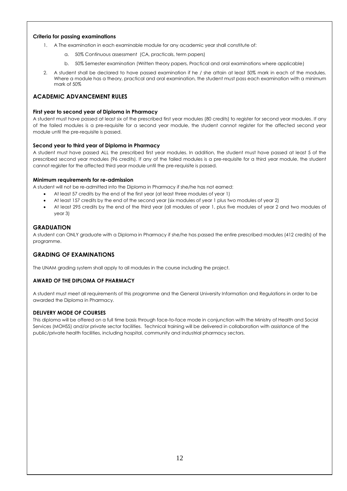#### **Criteria for passing examinations**

- 1. A The examination in each examinable module for any academic year shall constitute of:
	- a. 50% Continuous assessment (CA, practicals, term papers)
	- b. 50% Semester examination (Written theory papers, Practical and oral examinations where applicable)
- 2. A student shall be declared to have passed examination if he / she attain at least 50% mark in each of the modules. Where a module has a theory, practical and oral examination, the student must pass each examination with a minimum mark of 50%

#### **ACADEMIC ADVANCEMENT RULES**

#### **First year to second year of Diploma in Pharmacy**

A student must have passed at least six of the prescribed first year modules (80 credits) to register for second year modules. If any of the failed modules is a pre-requisite for a second year module, the student cannot register for the affected second year module until the pre-requisite is passed.

#### **Second year to third year of Diploma in Pharmacy**

A student must have passed ALL the prescribed first year modules. In addition, the student must have passed at least 5 of the prescribed second year modules (96 credits). If any of the failed modules is a pre-requisite for a third year module, the student cannot register for the affected third year module until the pre-requisite is passed.

#### **Minimum requirements for re-admission**

A student will not be re-admitted into the Diploma in Pharmacy if she/he has not earned:

- At least 57 credits by the end of the first year (at least three modules of year 1)
- At least 157 credits by the end of the second year (six modules of year 1 plus two modules of year 2)
- At least 295 credits by the end of the third year (all modules of year 1, plus five modules of year 2 and two modules of year 3)

#### **GRADUATION**

A student can ONLY graduate with a Diploma in Pharmacy if she/he has passed the entire prescribed modules (412 credits) of the programme.

#### **GRADING OF EXAMINATIONS**

The UNAM grading system shall apply to all modules in the course including the project.

#### **AWARD OF THE DIPLOMA OF PHARMACY**

A student must meet all requirements of this programme and the General University Information and Regulations in order to be awarded the Diploma in Pharmacy.

#### **DELIVERY MODE OF COURSES**

This diploma will be offered on a full time basis through face-to-face mode in conjunction with the Ministry of Health and Social Services (MOHSS) and/or private sector facilities. Technical training will be delivered in collaboration with assistance of the public/private health facilities, including hospital, community and industrial pharmacy sectors.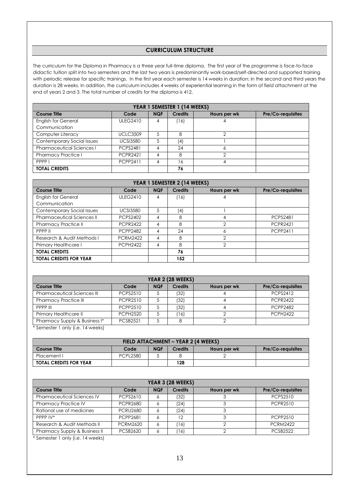#### **CURRICULUM STRUCTURE**

The curriculum for the Diploma in Pharmacy is a three year full-time diploma. The first year of the programme is face-to-face didactic tuition split into two semesters and the last two years is predominantly work-based/self-directed and supported training with periodic release for specific trainings. In the first year each semester is 14 weeks in duration; in the second and third years the duration is 28 weeks. In addition, the curriculum includes 4 weeks of experiential learning in the form of field attachment at the end of years 2 and 3. The total number of credits for the diploma is 412.

| YEAR 1 SEMESTER 1 (14 WEEKS)      |                 |            |                |              |                   |  |
|-----------------------------------|-----------------|------------|----------------|--------------|-------------------|--|
| <b>Course Title</b>               | Code            | <b>NQF</b> | <b>Credits</b> | Hours per wk | Pre/Co-requisites |  |
| <b>English for General</b>        | <b>ULEG2410</b> | 4          | 16)            |              |                   |  |
| Communication                     |                 |            |                |              |                   |  |
| Computer Literacy                 | <b>UCLC3509</b> | 5          | 8              |              |                   |  |
| <b>Contemporary Social Issues</b> | <b>UCSI3580</b> | 5          | (4)            |              |                   |  |
| <b>Pharmaceutical Sciences I</b>  | <b>PCPS2481</b> |            | 24             |              |                   |  |
| <b>Pharmacy Practice I</b>        | <b>PCPR2421</b> | 4          | 8              |              |                   |  |
| PPPP I                            | <b>PCPP2411</b> | 4          | 16             | 4            |                   |  |
| <b>TOTAL CREDITS</b>              |                 |            | 76             |              |                   |  |

| YEAR 1 SEMESTER 2 (14 WEEKS)      |                 |            |                |               |                   |  |
|-----------------------------------|-----------------|------------|----------------|---------------|-------------------|--|
| <b>Course Title</b>               | Code            | <b>NQF</b> | <b>Credits</b> | Hours per wk  | Pre/Co-requisites |  |
| <b>English for General</b>        | <b>ULEG2410</b> | 4          | (16)           | 4             |                   |  |
| Communication                     |                 |            |                |               |                   |  |
| Contemporary Social Issues        | <b>UCSI3580</b> | 5          | (4)            |               |                   |  |
| <b>Pharmaceutical Sciences II</b> | <b>PCPS2402</b> | 4          | 8              | 4             | <b>PCPS2481</b>   |  |
| <b>Pharmacy Practice II</b>       | <b>PCPR2422</b> | 4          | 8              | $\mathcal{P}$ | <b>PCPR2421</b>   |  |
| PPPP II                           | <b>PCPP2482</b> | 4          | 24             | 6             | <b>PCPP2411</b>   |  |
| Research & Audit Methods I        | <b>PCRM2422</b> | 4          | 8              | 2             |                   |  |
| Primary Healthcare I              | <b>PCPH2422</b> | 4          | 8              | $\mathcal{P}$ |                   |  |
| <b>TOTAL CREDITS</b>              |                 |            | 76             |               |                   |  |
| <b>TOTAL CREDITS FOR YEAR</b>     |                 |            | 152            |               |                   |  |

| YEAR 2 (28 WEEKS)                                                                            |                 |            |                |              |                          |  |
|----------------------------------------------------------------------------------------------|-----------------|------------|----------------|--------------|--------------------------|--|
| <b>Course Title</b>                                                                          | Code            | <b>NQF</b> | <b>Credits</b> | Hours per wk | <b>Pre/Co-requisites</b> |  |
| Pharmaceutical Sciences III                                                                  | <b>PCPS2510</b> |            | (32)           |              | <b>PCPS2412</b>          |  |
| <b>Pharmacy Practice III</b>                                                                 | <b>PCPR2510</b> |            | (32)           |              | <b>PCPR2422</b>          |  |
| PPPP III                                                                                     | PCPP2510        |            | (32)           |              | <b>PCPP2482</b>          |  |
| Primary Healthcare II                                                                        | <b>PCPH2520</b> |            | (16)           |              | <b>PCPH2422</b>          |  |
| Pharmacy Supply & Business I*                                                                | <b>PCSB2521</b> |            |                |              |                          |  |
| $*$ Compositor 1 and $\cdot$ $\cdot$ $\cdot$ $\cdot$ 1 4 $\cdot$ $\cdot$ $\cdot$ and $\cdot$ |                 |            |                |              |                          |  |

Semester 1 only (i.e. 14 weeks)

| FIELD ATTACHMENT - YEAR 2 (4 WEEKS) |                 |            |                |              |                          |  |
|-------------------------------------|-----------------|------------|----------------|--------------|--------------------------|--|
| <b>Course Title</b>                 | Code            | <b>NQF</b> | <b>Credits</b> | Hours per wk | <b>Pre/Co-requisites</b> |  |
| Placement I                         | <b>PCPL2580</b> |            |                |              |                          |  |
| <b>TOTAL CREDITS FOR YEAR</b>       |                 |            | 128            |              |                          |  |

| YEAR 3 (28 WEEKS)                        |                 |            |                |              |                          |  |
|------------------------------------------|-----------------|------------|----------------|--------------|--------------------------|--|
| <b>Course Title</b>                      | Code            | <b>NQF</b> | <b>Credits</b> | Hours per wk | <b>Pre/Co-requisites</b> |  |
| <b>Pharmaceutical Sciences IV</b>        | PCPS2610        |            | (32)           |              | <b>PCPS2510</b>          |  |
| <b>Pharmacy Practice IV</b>              | <b>PCPR2680</b> |            | (24)           |              | <b>PCPR2510</b>          |  |
| Rational use of medicines                | <b>PCRU2680</b> |            | (24)           |              |                          |  |
| PPPP IV*                                 | PCPP2681        |            | 12             |              | PCPP2510                 |  |
| Research & Audit Methods II              | <b>PCRM2620</b> |            | '16)           |              | <b>PCRM2422</b>          |  |
| <b>Pharmacy Supply &amp; Business II</b> | <b>PCSB2620</b> |            | '16)           |              | <b>PCSB2522</b>          |  |

\* Semester 1 only (i.e. 14 weeks)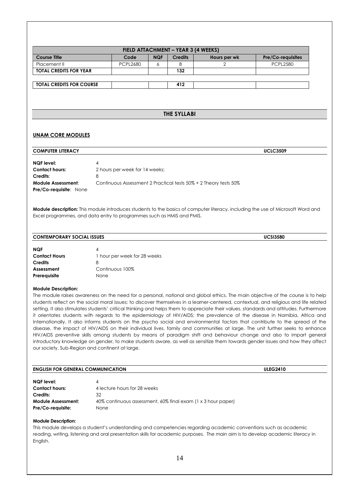| <b>Course Title</b><br>Placement II                                                                                                                                                                                                                                               |                                   |            | FIELD ATTACHMENT - YEAR 3 (4 WEEKS) |                                                                  |                                                                                                                                                                                                                                                                          |
|-----------------------------------------------------------------------------------------------------------------------------------------------------------------------------------------------------------------------------------------------------------------------------------|-----------------------------------|------------|-------------------------------------|------------------------------------------------------------------|--------------------------------------------------------------------------------------------------------------------------------------------------------------------------------------------------------------------------------------------------------------------------|
|                                                                                                                                                                                                                                                                                   | Code                              | <b>NQF</b> | <b>Credits</b>                      | Hours per wk                                                     | Pre/Co-requisites                                                                                                                                                                                                                                                        |
|                                                                                                                                                                                                                                                                                   | <b>PCPL2680</b>                   | 6          | 8                                   | 2                                                                | <b>PCPL2580</b>                                                                                                                                                                                                                                                          |
| <b>TOTAL CREDITS FOR YEAR</b>                                                                                                                                                                                                                                                     |                                   |            | 132                                 |                                                                  |                                                                                                                                                                                                                                                                          |
| <b>TOTAL CREDITS FOR COURSE</b>                                                                                                                                                                                                                                                   |                                   |            | 412                                 |                                                                  |                                                                                                                                                                                                                                                                          |
|                                                                                                                                                                                                                                                                                   |                                   |            |                                     |                                                                  |                                                                                                                                                                                                                                                                          |
|                                                                                                                                                                                                                                                                                   |                                   |            |                                     |                                                                  |                                                                                                                                                                                                                                                                          |
|                                                                                                                                                                                                                                                                                   |                                   |            | THE SYLLABI                         |                                                                  |                                                                                                                                                                                                                                                                          |
| <b>UNAM CORE MODULES</b>                                                                                                                                                                                                                                                          |                                   |            |                                     |                                                                  |                                                                                                                                                                                                                                                                          |
| <b>COMPUTER LITERACY</b>                                                                                                                                                                                                                                                          |                                   |            |                                     |                                                                  | <b>UCLC3509</b>                                                                                                                                                                                                                                                          |
|                                                                                                                                                                                                                                                                                   |                                   |            |                                     |                                                                  |                                                                                                                                                                                                                                                                          |
| <b>NQF</b> level:                                                                                                                                                                                                                                                                 | 4                                 |            |                                     |                                                                  |                                                                                                                                                                                                                                                                          |
| <b>Contact hours:</b>                                                                                                                                                                                                                                                             | 2 hours per week for 14 weeks;    |            |                                     |                                                                  |                                                                                                                                                                                                                                                                          |
| Credits:                                                                                                                                                                                                                                                                          |                                   |            |                                     |                                                                  |                                                                                                                                                                                                                                                                          |
| <b>Module Assessment:</b><br>Pre/Co-requisite: None                                                                                                                                                                                                                               |                                   |            |                                     | Continuous Assessment 2 Practical tests 50% + 2 Theory tests 50% |                                                                                                                                                                                                                                                                          |
|                                                                                                                                                                                                                                                                                   |                                   |            |                                     |                                                                  | Module description: This module introduces students to the basics of computer literacy, including the use of Microsoft Word and                                                                                                                                          |
|                                                                                                                                                                                                                                                                                   |                                   |            |                                     |                                                                  |                                                                                                                                                                                                                                                                          |
|                                                                                                                                                                                                                                                                                   |                                   |            |                                     |                                                                  | <b>UCSI3580</b>                                                                                                                                                                                                                                                          |
|                                                                                                                                                                                                                                                                                   |                                   |            |                                     |                                                                  |                                                                                                                                                                                                                                                                          |
|                                                                                                                                                                                                                                                                                   | 4                                 |            |                                     |                                                                  |                                                                                                                                                                                                                                                                          |
|                                                                                                                                                                                                                                                                                   | 1 hour per week for 28 weeks<br>8 |            |                                     |                                                                  |                                                                                                                                                                                                                                                                          |
|                                                                                                                                                                                                                                                                                   | Continuous 100%                   |            |                                     |                                                                  |                                                                                                                                                                                                                                                                          |
|                                                                                                                                                                                                                                                                                   | None                              |            |                                     |                                                                  |                                                                                                                                                                                                                                                                          |
|                                                                                                                                                                                                                                                                                   |                                   |            |                                     |                                                                  |                                                                                                                                                                                                                                                                          |
|                                                                                                                                                                                                                                                                                   |                                   |            |                                     |                                                                  | The module raises awareness on the need for a personal, national and global ethics. The main objective of the course is to help<br>students reflect on the social moral issues; to discover themselves in a learner-centered, contextual, and religious and life related |
|                                                                                                                                                                                                                                                                                   |                                   |            |                                     |                                                                  | setting. It also stimulates students' critical thinking and helps them to appreciate their values, standards and attitudes. Furthermore<br>it orientates students with regards to the epidemiology of HIV/AIDS; the prevalence of the disease in Namibia, Africa and     |
|                                                                                                                                                                                                                                                                                   |                                   |            |                                     |                                                                  | Internationally. It also informs students on the psycho social and environmental factors that contribute to the spread of the                                                                                                                                            |
|                                                                                                                                                                                                                                                                                   |                                   |            |                                     |                                                                  | disease, the impact of HIV/AIDS on their individual lives, family and communities at large. The unit further seeks to enhance                                                                                                                                            |
|                                                                                                                                                                                                                                                                                   |                                   |            |                                     |                                                                  | HIV/AIDS preventive skills among students by means of paradigm shift and behaviour change and also to impart general                                                                                                                                                     |
|                                                                                                                                                                                                                                                                                   |                                   |            |                                     |                                                                  | introductory knowledge on gender, to make students aware, as well as sensitize them towards gender issues and how they affect                                                                                                                                            |
| Excel programmes, and data entry to programmes such as HMIS and PMIS.<br><b>CONTEMPORARY SOCIAL ISSUES</b><br><b>NQF</b><br><b>Contact Hours</b><br><b>Credits</b><br>Assessment<br>Prerequisite<br><b>Module Description:</b><br>our society, Sub-Region and continent at large. |                                   |            |                                     |                                                                  |                                                                                                                                                                                                                                                                          |

| NQF level:                |                                                              |
|---------------------------|--------------------------------------------------------------|
| <b>Contact hours:</b>     | 4 lecture hours for 28 weeks                                 |
| Credits:                  | 32                                                           |
| <b>Module Assessment:</b> | 40% continuous assessment, 60% final exam (1 x 3 hour paper) |
| Pre/Co-requisite:         | None                                                         |

This module develops a student's understanding and competencies regarding academic conventions such as academic reading, writing, listening and oral presentation skills for academic purposes. The main aim is to develop academic literacy in English.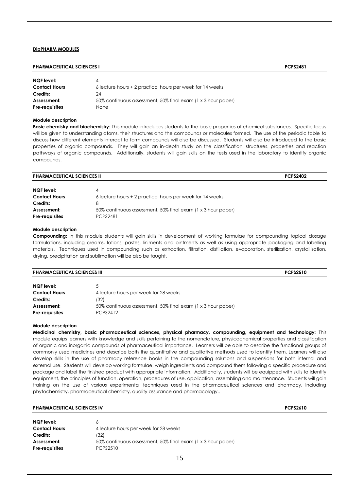#### **DipPHARM MODULES**

#### **PHARMACEUTICAL SCIENCES I PCPS2481**

| NQF level:            | Δ                                                            |
|-----------------------|--------------------------------------------------------------|
| <b>Contact Hours</b>  | 6 lecture hours + 2 practical hours per week for 14 weeks    |
| Credits:              | 24                                                           |
| Assessment:           | 50% continuous assessment, 50% final exam (1 x 3 hour paper) |
| <b>Pre-requisites</b> | None                                                         |

#### **Module description**

**Basic chemistry and biochemistry:** This module introduces students to the basic properties of chemical substances. Specific focus will be given to understanding atoms, their structures and the compounds or molecules formed. The use of the periodic table to discuss how different elements interact to form compounds will also be discussed. Students will also be introduced to the basic properties of organic compounds. They will gain an in-depth study on the classification, structures, properties and reaction pathways of organic compounds. Additionally, students will gain skills on the tests used in the laboratory to identify organic compounds.

| <b>PHARMACEUTICAL SCIENCES II</b> |                                                              | <b>PCPS2402</b> |
|-----------------------------------|--------------------------------------------------------------|-----------------|
| NQF level:                        | 4                                                            |                 |
| <b>Contact Hours</b>              | 6 lecture hours + 2 practical hours per week for 14 weeks    |                 |
| Credits:                          | 8                                                            |                 |
| Assessment:                       | 50% continuous assessment, 50% final exam (1 x 3 hour paper) |                 |
| <b>Pre-requisites</b>             | <b>PCPS2481</b>                                              |                 |

#### **Module description**

**Compounding:** In this module students will gain skills in development of working formulae for compounding topical dosage formulations, including creams, lotions, pastes, liniments and ointments as well as using appropriate packaging and labelling materials. Techniques used in compounding such as extraction, filtration, distillation, evaporation, sterilisation, crystallisation, drying, precipitation and sublimation will be also be taught.

| CAL SCIENCES III      | 0.0000000 |
|-----------------------|-----------|
| <b>PHARMACEUTICAL</b> | טוני      |
|                       |           |
|                       |           |

| NQF level:           |                                                              |
|----------------------|--------------------------------------------------------------|
| <b>Contact Hours</b> | 4 lecture hours per week for 28 weeks                        |
| Credits:             | (32)                                                         |
| Assessment:          | 50% continuous assessment, 50% final exam (1 x 3 hour paper) |
| Pre-requisites       | PCPS2412                                                     |
|                      |                                                              |

#### **Module description**

**Medicinal chemistry, basic pharmaceutical sciences, physical pharmacy, compounding, equipment and technology:** This module equips learners with knowledge and skills pertaining to the nomenclature, physicochemical properties and classification of organic and inorganic compounds of pharmaceutical importance. Learners will be able to describe the functional groups of commonly used medicines and describe both the quantitative and qualitative methods used to identify them. Learners will also develop skills in the use of pharmacy reference books in the compounding solutions and suspensions for both internal and external use. Students will develop working formulae, weigh ingredients and compound them following a specific procedure and package and label the finished product with appropriate information. Additionally, students will be equipped with skills to identify equipment, the principles of function, operation, procedures of use, application, assembling and maintenance. Students will gain training on the use of various experimental techniques used in the pharmaceutical sciences and pharmacy, including phytochemistry, pharmaceutical chemistry, quality assurance and pharmacology..

| <b>PHARMACEUTICAL SCIENCES IV</b> |                                                              | <b>PCPS2610</b> |
|-----------------------------------|--------------------------------------------------------------|-----------------|
| <b>NQF</b> level:                 | 6                                                            |                 |
| <b>Contact Hours</b>              | 4 lecture hours per week for 28 weeks                        |                 |
| Credits:                          | (32)                                                         |                 |
| Assessment:                       | 50% continuous assessment, 50% final exam (1 x 3 hour paper) |                 |
| <b>Pre-requisites</b>             | PCPS2510                                                     |                 |
|                                   | 15                                                           |                 |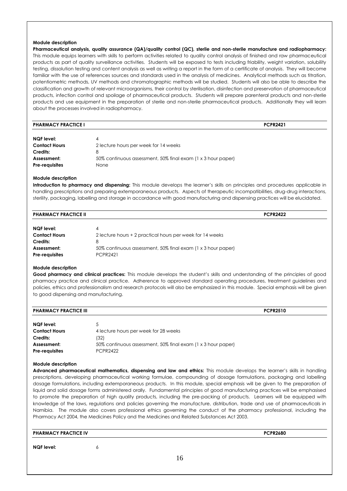**Pharmaceutical analysis, quality assurance (QA)/quality control (QC), sterile and non-sterile manufacture and radiopharmacy:**  This module equips learners with skills to perform activities related to quality control analysis of finished and raw pharmaceutical products as part of quality surveillance activities. Students will be exposed to tests including friability, weight variation, solubility testing, dissolution testing and content analysis as well as writing a report in the form of a certificate of analysis. They will become familiar with the use of references sources and standards used in the analysis of medicines. Analytical methods such as titration, potentiometric methods, UV methods and chromatographic methods will be studied. Students will also be able to describe the classification and growth of relevant microorganisms, their control by sterilisation, disinfection and preservation of pharmaceutical products, infection control and spoilage of pharmaceutical products. Students will prepare parenteral products and non-sterile products and use equipment in the preparation of sterile and non-sterile pharmaceutical products. Additionally they will learn about the processes involved in radiopharmacy.

| <b>PHARMACY PRACTICE I</b> | <b>PCPR2421</b> |
|----------------------------|-----------------|
|----------------------------|-----------------|

#### **Module description**

**Introduction to pharmacy and dispensing:** This module develops the learner's skills on principles and procedures applicable in handling prescriptions and preparing extemporaneous products. Aspects of therapeutic incompatibilities, drug-drug interactions, sterility, packaging, labelling and storage in accordance with good manufacturing and dispensing practices will be elucidated.

| <b>PHARMACY PRACTICE II</b> |                                                              | <b>PCPR2422</b> |
|-----------------------------|--------------------------------------------------------------|-----------------|
|                             |                                                              |                 |
| NQF level:                  | 4                                                            |                 |
| <b>Contact Hours</b>        | 2 lecture hours + 2 practical hours per week for 14 weeks    |                 |
| Credits:                    | 8                                                            |                 |
| Assessment:                 | 50% continuous assessment, 50% final exam (1 x 3 hour paper) |                 |
| <b>Pre-requisites</b>       | <b>PCPR2421</b>                                              |                 |

#### **Module description**

**Good pharmacy and clinical practices:** This module develops the student's skills and understanding of the principles of good pharmacy practice and clinical practice. Adherence to approved standard operating procedures, treatment guidelines and policies, ethics and professionalism and research protocols will also be emphasized in this module. Special emphasis will be given to good dispensing and manufacturing.

| <b>PHARMACY PRACTICE III</b> | <b>PCPR2510</b> |
|------------------------------|-----------------|
|                              |                 |

| NQF level:            | 5.                                                           |
|-----------------------|--------------------------------------------------------------|
| <b>Contact Hours</b>  | 4 lecture hours per week for 28 weeks                        |
| Credits:              | (32)                                                         |
| Assessment:           | 50% continuous assessment, 50% final exam (1 x 3 hour paper) |
| <b>Pre-requisites</b> | <b>PCPR2422</b>                                              |

#### **Module description**

**Advanced pharmaceutical mathematics, dispensing and law and ethics:** This module develops the learner's skills in handling prescriptions, developing pharmaceutical working formulae, compounding of dosage formulations, packaging and labelling dosage formulations, including extemporaneous products. In this module, special emphasis will be given to the preparation of liquid and solid dosage forms administered orally. Fundamental principles of good manufacturing practices will be emphasised to promote the preparation of high quality products, including the pre-packing of products. Learners will be equipped with knowledge of the laws, regulations and policies governing the manufacture, distribution, trade and use of pharmaceuticals in Namibia. The module also covers professional ethics governing the conduct of the pharmacy professional, including the Pharmacy Act 2004, the Medicines Policy and the Medicines and Related Substances Act 2003.

| <b>PHARMACY PRACTICE IV</b> | <b>PCPR2680</b> |
|-----------------------------|-----------------|
|                             |                 |

#### **NQF level:** 6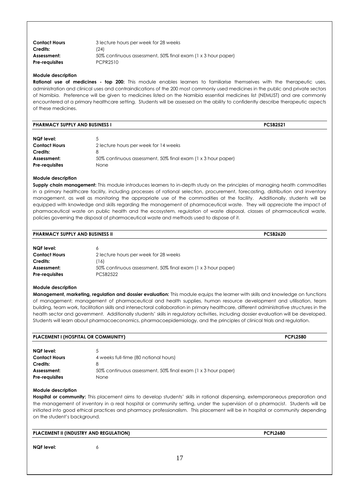| <b>Contact Hours</b> | 3 lecture hours per week for 28 weeks                        |
|----------------------|--------------------------------------------------------------|
| Credits:             | (24)                                                         |
| Assessment:          | 50% continuous assessment, 50% final exam (1 x 3 hour paper) |
| Pre-requisites       | PCPR2510                                                     |

**Rational use of medicines - top 200:** This module enables learners to familiarise themselves with the therapeutic uses, administration and clinical uses and contraindications of the 200 most commonly used medicines in the public and private sectors of Namibia. Preference will be given to medicines listed on the Namibia essential medicines list (NEMLIST) and are commonly encountered at a primary healthcare setting. Students will be assessed on the ability to confidently describe therapeutic aspects of these medicines.

| <b>PHARMACY SUPPLY AND BUSINESS I</b> | <b>PCSB2521</b> |
|---------------------------------------|-----------------|
|                                       |                 |

| NQF level:<br><b>Contact Hours</b><br>Credits: | 5<br>2 lecture hours per week for 14 weeks                   |
|------------------------------------------------|--------------------------------------------------------------|
| Assessment:                                    | 50% continuous assessment, 50% final exam (1 x 3 hour paper) |
| <b>Pre-requisites</b>                          | <b>None</b>                                                  |

#### **Module description**

**Supply chain management:** This module introduces learners to in-depth study on the principles of managing health commodities in a primary healthcare facility, including processes of rational selection, procurement, forecasting, distribution and inventory management, as well as monitoring the appropriate use of the commodities at the facility. Additionally, students will be equipped with knowledge and skills regarding the management of pharmaceutical waste. They will appreciate the impact of pharmaceutical waste on public health and the ecosystem, regulation of waste disposal, classes of pharmaceutical waste, policies governing the disposal of pharmaceutical waste and methods used to dispose of it.

#### **PHARMACY SUPPLY AND BUSINESS II PCSB2620 NQF level:** 6 **Contact Hours** 2 lecture hours per week for 28 weeks **Credits:** (16) **Assessment:** 50% continuous assessment, 50% final exam (1 x 3 hour paper)

#### **Module description**

**Pre-requisites** PCSB2522

**Management, marketing, regulation and dossier evaluation:** This module equips the learner with skills and knowledge on functions of management; management of pharmaceutical and health supplies, human resource development and utilisation, team building, team work, facilitation skills and intersectoral collaboration in primary healthcare, different administrative structures in the health sector and government. Additionally students' skills in regulatory activities, including dossier evaluation will be developed. Students will learn about pharmacoeconomics, pharmacoepidemiology, and the principles of clinical trials and regulation.

| <b>PLACEMENT I (HOSPITAL OR COMMUNITY)</b> |                                                              | <b>PCPL2580</b> |
|--------------------------------------------|--------------------------------------------------------------|-----------------|
| NQF level:                                 |                                                              |                 |
| <b>Contact Hours</b>                       | 4 weeks full-time (80 notional hours)                        |                 |
| Credits:                                   | 8                                                            |                 |
| Assessment:                                | 50% continuous assessment, 50% final exam (1 x 3 hour paper) |                 |
| <b>Pre-requisites</b>                      | None                                                         |                 |

#### **Module description**

**Hospital or community:** This placement aims to develop students' skills in rational dispensing, extemporaneous preparation and the management of inventory in a real hospital or community setting, under the supervision of a pharmacist. Students will be initiated into good ethical practices and pharmacy professionalism. This placement will be in hospital or community depending on the student's background.

| <b>PLACEMENT II (INDUSTRY AND REGULATION)</b> |  | <b>PCPL2680</b> |  |
|-----------------------------------------------|--|-----------------|--|
| <b>NQF</b> level:                             |  |                 |  |
|                                               |  |                 |  |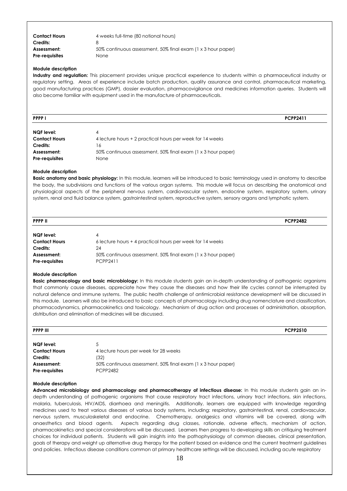| <b>Contact Hours</b>    | 4 weeks full-time (80 notional hours)                             |
|-------------------------|-------------------------------------------------------------------|
| Credits:<br>Assessment: | x<br>50% continuous assessment, 50% final exam (1 x 3 hour paper) |
| <b>Pre-requisites</b>   | <b>None</b>                                                       |

**Industry and regulation:** This placement provides unique practical experience to students within a pharmaceutical industry or regulatory setting. Areas of experience include batch production, quality assurance and control, pharmaceutical marketing, good manufacturing practices (GMP), dossier evaluation, pharmacovigilance and medicines information queries. Students will also become familiar with equipment used in the manufacture of pharmaceuticals.

| <b>PPPP</b> I        |                                                           | <b>PCPP2411</b> |
|----------------------|-----------------------------------------------------------|-----------------|
| NQF level:           |                                                           |                 |
| <b>Contact Hours</b> | 4 lecture hours + 2 practical hours per week for 14 weeks |                 |

| <b>Contact Hours</b><br>4 lecture hours + 2 practical hours per week for 14 weeks |  |
|-----------------------------------------------------------------------------------|--|
|                                                                                   |  |
| Credits:<br>16                                                                    |  |
| 50% continuous assessment, 50% final exam (1 x 3 hour paper)<br>Assessment:       |  |
| <b>Pre-requisites</b><br>None                                                     |  |

**Assessment:** 50% continuous assessment, 50% final exam (1 x 3 hour paper)

#### **Module description**

**Basic anatomy and basic physiology:** In this module, learners will be introduced to basic terminology used in anatomy to describe the body, the subdivisions and functions of the various organ systems. This module will focus on describing the anatomical and physiological aspects of the peripheral nervous system, cardiovascular system, endocrine system, respiratory system, urinary system, renal and fluid balance system, gastrointestinal system, reproductive system, sensory organs and lymphatic system.

| <b>PPPP II</b>       |                                                           | <b>PCPP2482</b> |
|----------------------|-----------------------------------------------------------|-----------------|
| NQF level:           | 4                                                         |                 |
| <b>Contact Hours</b> | 6 lecture hours + 4 practical hours per week for 14 weeks |                 |
| Credits:             | 24                                                        |                 |

#### **Module description**

**Pre-requisites** PCPP2411

**Basic pharmacology and basic microbiology:** In this module students gain an in-depth understanding of pathogenic organisms that commonly cause diseases, appreciate how they cause the diseases and how their life cycles cannot be interrupted by natural defence and immune systems. The public health challenge of antimicrobial resistance development will be discussed in this module. Learners will also be introduced to basic concepts of pharmacology including drug nomenclature and classification, pharmacodynamics, pharmacokinetics and toxicology. Mechanism of drug action and processes of administration, absorption, distribution and elimination of medicines will be discussed.

| <b>PPPP III</b>       |                                                              | <b>PCPP2510</b> |
|-----------------------|--------------------------------------------------------------|-----------------|
| NQF level:            | 5                                                            |                 |
| <b>Contact Hours</b>  | 4 lecture hours per week for 28 weeks                        |                 |
| Credits:              | (32)                                                         |                 |
| Assessment:           | 50% continuous assessment, 50% final exam (1 x 3 hour paper) |                 |
| <b>Pre-requisites</b> | <b>PCPP2482</b>                                              |                 |

#### **Module description**

**Advanced microbiology and pharmacology and pharmacotherapy of infectious disease:** In this module students gain an indepth understanding of pathogenic organisms that cause respiratory tract infections, urinary tract infections, skin infections, malaria, tuberculosis, HIV/AIDS, diarrhoea and meningitis. Additionally, learners are equipped with knowledge regarding medicines used to treat various diseases of various body systems, including: respiratory, gastrointestinal, renal, cardiovascular, nervous system, musculoskeletal and endocrine. Chemotherapy, analgesics and vitamins will be covered, along with anaesthetics and blood agents. Aspects regarding drug classes, rationale, adverse effects, mechanism of action, pharmacokinetics and special considerations will be discussed. Learners then progress to developing skills on critiquing treatment choices for individual patients. Students will gain insights into the pathophysiology of common diseases, clinical presentation, goals of therapy and weight up alternative drug therapy for the patient based on evidence and the current treatment guidelines and policies. Infectious disease conditions common at primary healthcare settings will be discussed, including acute respiratory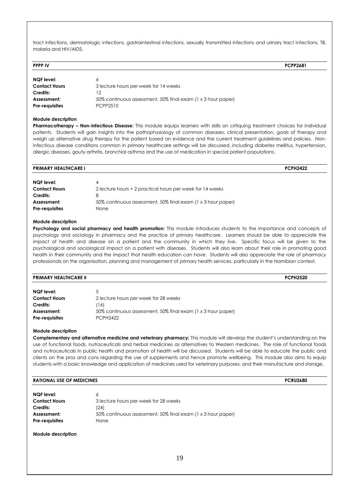tract infections, dermatologic infections, gastrointestinal infections, sexually transmitted infections and urinary tract infections, TB, malaria and HIV/AIDS.

| <b>PPPP IV</b>        |                                                              | <b>PCPP2681</b> |
|-----------------------|--------------------------------------------------------------|-----------------|
| NQF level:            | 6                                                            |                 |
| <b>Contact Hours</b>  | 3 lecture hours per week for 14 weeks                        |                 |
| Credits:              | 12                                                           |                 |
| Assessment:           | 50% continuous assessment, 50% final exam (1 x 3 hour paper) |                 |
| <b>Pre-requisites</b> | PCPP2510                                                     |                 |

#### **Module description**

**Pharmacotherapy – Non-infectious Disease:** This module equips learners with skills on critiquing treatment choices for individual patients. Students will gain insights into the pathophysiology of common diseases, clinical presentation, goals of therapy and weigh up alternative drug therapy for the patient based on evidence and the current treatment guidelines and policies. Noninfectious disease conditions common in primary healthcare settings will be discussed, including diabetes mellitus, hypertension, allergic diseases, gouty arthritis, bronchial asthma and the use of medication in special patient populations.

| <b>PRIMARY HEALTHCARE I</b>               |                                                                      | <b>PCPH2422</b> |
|-------------------------------------------|----------------------------------------------------------------------|-----------------|
| <b>NQF</b> level:<br><b>Contact Hours</b> | 4<br>2 lecture hours + 2 practical hours per week for 14 weeks       |                 |
| Credits:                                  | 8                                                                    |                 |
| Assessment:<br><b>Pre-requisites</b>      | 50% continuous assessment, 50% final exam (1 x 3 hour paper)<br>None |                 |

#### **Module description**

Psychology and social pharmacy and health promotion: This module introduces students to the importance and concepts of psychology and sociology in pharmacy and the practice of primary healthcare. Learners should be able to appreciate the impact of health and disease on a patient and the community in which they live. Specific focus will be given to the psychological and sociological impact on a patient with diseases. Students will also learn about their role in promoting good health in their community and the impact that health education can have. Students will also appreciate the role of pharmacy professionals on the organisation, planning and management of primary health services, particularly in the Namibian context.

| <b>PRIMARY HEALTHCARE II</b> | <b>PCPH2520</b> |
|------------------------------|-----------------|
|                              | ________        |

| NQF level:            | 5                                                            |
|-----------------------|--------------------------------------------------------------|
| <b>Contact Hours</b>  | 2 lecture hours per week for 28 weeks                        |
| Credits:              | (16)                                                         |
| Assessment:           | 50% continuous assessment, 50% final exam (1 x 3 hour paper) |
| <b>Pre-requisites</b> | <b>PCPH2422</b>                                              |

#### **Module description**

**Complementary and alternative medicine and veterinary pharmacy:** This module will develop the student's understanding on the use of functional foods, nutraceuticals and herbal medicines as alternatives to Western medicines. The role of functional foods and nutraceuticals in public health and promotion of health will be discussed. Students will be able to educate the public and clients on the pros and cons regarding the use of supplements and hence promote wellbeing. This module also aims to equip students with a basic knowledge and application of medicines used for veterinary purposes, and their manufacture and storage.

#### **RATIONAL USE OF MEDICINES PCRU2680**

| NQF level:            |                                                              |
|-----------------------|--------------------------------------------------------------|
| <b>Contact Hours</b>  | 3 lecture hours per week for 28 weeks                        |
| Credits:              | (24)                                                         |
| Assessment:           | 50% continuous assessment, 50% final exam (1 x 3 hour paper) |
| <b>Pre-requisites</b> | None                                                         |

**Module description**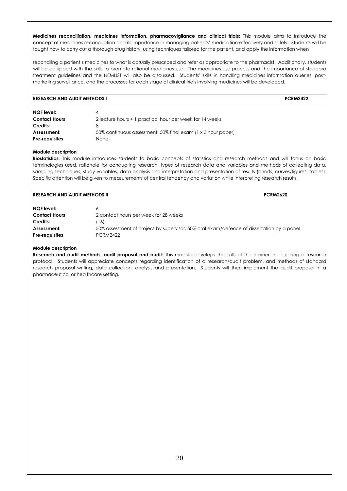**Medicines reconciliation, medicines information, pharmacovigilance and clinical trials:** This module aims to introduce the concept of medicines reconciliation and its importance in managing patients' medication effectively and safely. Students will be taught how to carry out a thorough drug history, using techniques tailored for the patient, and apply the information when

reconciling a patient's medicines to what is actually prescribed and refer as appropriate to the pharmacist. Additionally, students will be equipped with the skills to promote rational medicines use. The medicines use process and the importance of standard treatment guidelines and the NEMLIST will also be discussed. Students' skills in handling medicines information queries, postmarketing surveillance, and the processes for each stage of clinical trials involving medicines will be developed.

| <b>RESEARCH AND AUDIT METHODS I</b> |                                                              | <b>PCRM2422</b> |  |
|-------------------------------------|--------------------------------------------------------------|-----------------|--|
|                                     |                                                              |                 |  |
| NQF level:                          | 4                                                            |                 |  |
| <b>Contact Hours</b>                | 2 lecture hours + 1 practical hour per week for 14 weeks     |                 |  |
| Credits:                            | 8                                                            |                 |  |
| Assessment:                         | 50% continuous assessment, 50% final exam (1 x 3 hour paper) |                 |  |
| <b>Pre-requisites</b>               | None                                                         |                 |  |

#### **Module description**

**Biostatistics:** This module introduces students to basic concepts of statistics and research methods and will focus on basic terminologies used, rationale for conducting research, types of research data and variables and methods of collecting data, sampling techniques, study variables, data analysis and interpretation and presentation of results (charts, curves/figures, tables). Specific attention will be given to measurements of central tendency and variation while interpreting research results.

| <b>RESEARCH AND AUDIT METHODS II</b> | <b>PCRM2620</b>                                                                           |  |
|--------------------------------------|-------------------------------------------------------------------------------------------|--|
| <b>NQF</b> level:                    |                                                                                           |  |
| <b>Contact Hours</b>                 | 2 contact hours per week for 28 weeks                                                     |  |
| Credits:                             | '16)                                                                                      |  |
| Assessment:                          | 50% assessment of project by supervisor, 50% oral exam/defence of dissertation by a panel |  |
| <b>Pre-requisites</b>                | <b>PCRM2422</b>                                                                           |  |

#### **Module description**

**Research and audit methods, audit proposal and audit:** This module develops the skills of the learner in designing a research protocol. Students will appreciate concepts regarding identification of a research/audit problem, and methods of standard research proposal writing, data collection, analysis and presentation. Students will then implement the audit proposal in a pharmaceutical or healthcare setting.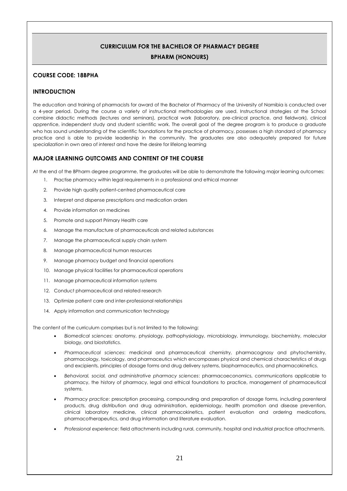#### **CURRICULUM FOR THE BACHELOR OF PHARMACY DEGREE BPHARM (HONOURS)**

#### <span id="page-21-1"></span><span id="page-21-0"></span>**COURSE CODE: 18BPHA**

#### **INTRODUCTION**

The education and training of pharmacists for award of the Bachelor of Pharmacy of the University of Namibia is conducted over a 4-year period. During the course a variety of instructional methodologies are used. Instructional strategies at the School combine didactic methods (lectures and seminars), practical work (laboratory, pre-clinical practice, and fieldwork), clinical apprentice, independent study and student scientific work. The overall goal of the degree program is to produce a graduate who has sound understanding of the scientific foundations for the practice of pharmacy, possesses a high standard of pharmacy practice and is able to provide leadership in the community. The graduates are also adequately prepared for future specialization in own area of interest and have the desire for lifelong learning

#### **MAJOR LEARNING OUTCOMES AND CONTENT OF THE COURSE**

At the end of the BPharm degree programme, the graduates will be able to demonstrate the following major learning outcomes:

- 1. Practise pharmacy within legal requirements in a professional and ethical manner
- 2. Provide high quality patient-centred pharmaceutical care
- 3. Interpret and dispense prescriptions and medication orders
- 4. Provide information on medicines
- 5. Promote and support Primary Health care
- 6. Manage the manufacture of pharmaceuticals and related substances
- 7. Manage the pharmaceutical supply chain system
- 8. Manage pharmaceutical human resources
- 9. Manage pharmacy budget and financial operations
- 10. Manage physical facilities for pharmaceutical operations
- 11. Manage pharmaceutical information systems
- 12. Conduct pharmaceutical and related research
- 13. Optimize patient care and inter-professional relationships
- 14. Apply information and communication technology

The content of the curriculum comprises but is not limited to the following:

- *Biomedical sciences:* anatomy, physiology, pathophysiology, microbiology, immunology, biochemistry, molecular biology, and biostatistics.
- *Pharmaceutical sciences*: medicinal and pharmaceutical chemistry, pharmacognosy and phytochemistry, pharmacology, toxicology, and pharmaceutics which encompasses physical and chemical characteristics of drugs and excipients, principles of dosage forms and drug delivery systems, biopharmaceutics, and pharmacokinetics.
- *Behavioral, social, and administrative pharmacy sciences*: pharmacoeconomics, communications applicable to pharmacy, the history of pharmacy, legal and ethical foundations to practice, management of pharmaceutical systems.
- *Pharmacy practice*: prescription processing, compounding and preparation of dosage forms, including parenteral products, drug distribution and drug administration, epidemiology, health promotion and disease prevention, clinical laboratory medicine, clinical pharmacokinetics, patient evaluation and ordering medications, pharmacotherapeutics, and drug information and literature evaluation.
- *Professional experience*: field attachments including rural, community, hospital and industrial practice attachments.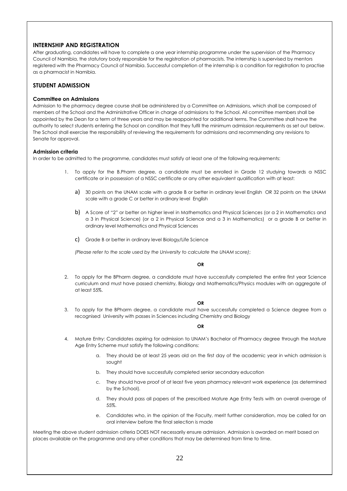#### **INTERNSHIP AND REGISTRATION**

After graduating, candidates will have to complete a one year internship programme under the supervision of the Pharmacy Council of Namibia, the statutory body responsible for the registration of pharmacists. The internship is supervised by mentors registered with the Pharmacy Council of Namibia. Successful completion of the internship is a condition for registration to practise as a pharmacist in Namibia.

#### <span id="page-22-0"></span>**STUDENT ADMISSION**

#### <span id="page-22-1"></span>**Committee on Admissions**

Admission to the pharmacy degree course shall be administered by a Committee on Admissions, which shall be composed of members of the School and the Administrative Officer in charge of admissions to the School. All committee members shall be appointed by the Dean for a term of three years and may be reappointed for additional terms. The Committee shall have the authority to select students entering the School on condition that they fulfil the minimum admission requirements as set out below. The School shall exercise the responsibility of reviewing the requirements for admissions and recommending any revisions to Senate for approval.

#### <span id="page-22-2"></span>**Admission criteria**

In order to be admitted to the programme, candidates must satisfy at least one of the following requirements:

- 1. To apply for the B.Pharm degree, a candidate must be enrolled in Grade 12 studying towards a NSSC certificate or in possession of a NSSC certificate or any other equivalent qualification with at least:
	- a) 30 points on the UNAM scale with a grade B or better in ordinary level English OR 32 points on the UNAM scale with a grade C or better in ordinary level English
	- b) A Score of "2" or better on higher level in Mathematics and Physical Sciences (or a 2 in Mathematics and a 3 in Physical Science) (or a 2 in Physical Science and a 3 in Mathematics) or a grade B or better in ordinary level Mathematics and Physical Sciences
	- c) Grade B or better in ordinary level Biology/Life Science

*(Please refer to the scale used by the University to calculate the UNAM score)*;

#### **OR**

2. To apply for the BPharm degree, a candidate must have successfully completed the entire first year Science curriculum and must have passed chemistry, Biology and Mathematics/Physics modules with an aggregate of at least 55%.

#### **OR**

3. To apply for the BPharm degree, a candidate must have successfully completed a Science degree from a recognised University with passes in Sciences including Chemistry and Biology

#### **OR**

- 4. Mature Entry: Candidates aspiring for admission to UNAM's Bachelor of Pharmacy degree through the Mature Age Entry Scheme must satisfy the following conditions:
	- a. They should be at least 25 years old on the first day of the academic year in which admission is sought
	- b. They should have successfully completed senior secondary education
	- c. They should have proof of at least five years pharmacy relevant work experience (as determined by the School).
	- d. They should pass all papers of the prescribed Mature Age Entry Tests with an overall average of 55%.
	- e. Candidates who, in the opinion of the Faculty, merit further consideration, may be called for an oral interview before the final selection is made

Meeting the above student admission criteria DOES NOT necessarily ensure admission. Admission is awarded on merit based on places available on the programme and any other conditions that may be determined from time to time.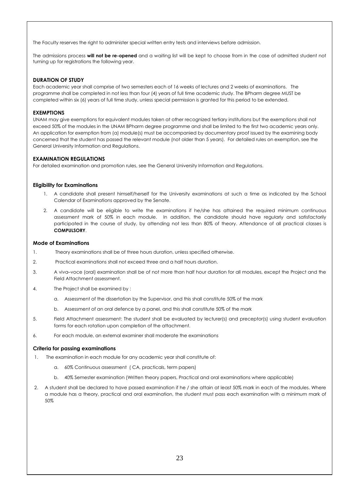The Faculty reserves the right to administer special written entry tests and interviews before admission.

The admissions process **will not be re-opened** and a waiting list will be kept to choose from in the case of admitted student not turning up for registrations the following year.

#### <span id="page-23-0"></span>**DURATION OF STUDY**

Each academic year shall comprise of two semesters each of 16 weeks of lectures and 2 weeks of examinations. The programme shall be completed in not less than four (4) years of full time academic study. The BPharm degree MUST be completed within six (6) years of full time study, unless special permission is granted for this period to be extended.

#### <span id="page-23-1"></span>**EXEMPTIONS**

UNAM may give exemptions for equivalent modules taken at other recognized tertiary institutions but the exemptions shall not exceed 50% of the modules in the UNAM BPharm degree programme and shall be limited to the first two academic years only. An application for exemption from (a) module(s) must be accompanied by documentary proof issued by the examining body concerned that the student has passed the relevant module (not older than 5 years). For detailed rules on exemption, see the General University Information and Regulations.

#### <span id="page-23-2"></span>**EXAMINATION REGULATIONS**

For detailed examination and promotion rules, see the General University Information and Regulations.

#### <span id="page-23-3"></span>**Eligibility for Examinations**

- 1. A candidate shall present himself/herself for the University examinations at such a time as indicated by the School Calendar of Examinations approved by the Senate.
- 2. A candidate will be eligible to write the examinations if he/she has attained the required minimum continuous assessment mark of 50% in each module. In addition, the candidate should have regularly and satisfactorily participated in the course of study, by attending not less than 80% of theory. Attendance of all practical classes is **COMPULSORY**.

#### <span id="page-23-4"></span>**Mode of Examinations**

- 1. Theory examinations shall be of three hours duration, unless specified otherwise.
- 2. Practical examinations shall not exceed three and a half hours duration.
- 3. A viva–voce (oral) examination shall be of not more than half hour duration for all modules, except the Project and the Field Attachment assessment.
- 4. The Project shall be examined by :
	- a. Assessment of the dissertation by the Supervisor, and this shall constitute 50% of the mark
	- b. Assessment of an oral defence by a panel, and this shall constitute 50% of the mark
- 5. Field Attachment assessment: The student shall be evaluated by lecturer(s) and preceptor(s) using student evaluation forms for each rotation upon completion of the attachment.
- 6. For each module, an external examiner shall moderate the examinations

#### <span id="page-23-5"></span>**Criteria for passing examinations**

- 1. The examination in each module for any academic year shall constitute of:
	- a. 60% Continuous assessment ( CA, practicals, term papers)
	- b. 40% Semester examination (Written theory papers, Practical and oral examinations where applicable)
- 2. A student shall be declared to have passed examination if he / she attain at least 50% mark in each of the modules. Where a module has a theory, practical and oral examination, the student must pass each examination with a minimum mark of 50%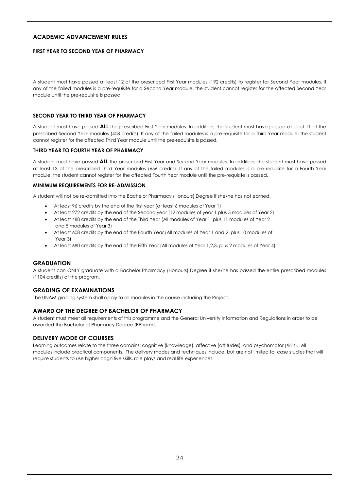#### <span id="page-24-0"></span>**ACADEMIC ADVANCEMENT RULES**

#### **FIRST YEAR TO SECOND YEAR OF PHARMACY**

A student must have passed at least 12 of the prescribed First Year modules (192 credits) to register for Second Year modules. If any of the failed modules is a pre-requisite for a Second Year module, the student cannot register for the affected Second Year module until the pre-requisite is passed.

#### **SECOND YEAR TO THIRD YEAR OF PHARMACY**

A student must have passed **ALL** the prescribed First Year modules. In addition, the student must have passed at least 11 of the prescribed Second Year modules (408 credits). If any of the failed modules is a pre-requisite for a Third Year module, the student cannot register for the affected Third Year module until the pre-requisite is passed.

#### **THIRD YEAR TO FOURTH YEAR OF PHARMACY**

A student must have passed **ALL** the prescribed First Year and Second Year modules. In addition, the student must have passed at least 13 of the prescribed Third Year modules (656 credits). If any of the failed modules is a pre-requisite for a Fourth Year module, the student cannot register for the affected Fourth Year module until the pre-requisite is passed.

#### **MINIMUM REQUIREMENTS FOR RE-ADMISSION**

A student will not be re-admitted into the Bachelor Pharmacy (Honours) Degree if she/he has not earned:

- At least 96 credits by the end of the first year (at least 6 modules of Year 1)
- At least 272 credits by the end of the Second year (12 modules of year 1 plus 5 modules of Year 2)
- At least 488 credits by the end of the Third Year (All modules of Year 1, plus 11 modules of Year 2 and 5 modules of Year 3)
- At least 608 credits by the end of the Fourth Year (All modules of Year 1 and 2, plus 10 modules of Year 3)
- At least 680 credits by the end of the Fifth Year (All modules of Year 1,2,3, plus 2 modules of Year 4)

#### **GRADUATION**

A student can ONLY graduate with a Bachelor Pharmacy (Honours) Degree if she/he has passed the entire prescribed modules (1104 credits) of the program.

#### <span id="page-24-1"></span>**GRADING OF EXAMINATIONS**

<span id="page-24-2"></span>The UNAM grading system shall apply to all modules in the course including the Project.

#### **AWARD OF THE DEGREE OF BACHELOR OF PHARMACY**

A student must meet all requirements of this programme and the General University Information and Regulations in order to be awarded the Bachelor of Pharmacy Degree (BPharm).

#### <span id="page-24-3"></span>**DELIVERY MODE OF COURSES**

Learning outcomes relate to the three domains: cognitive (knowledge), affective (attitudes), and psychomotor (skills). All modules include practical components. The delivery modes and techniques include, but are not limited to, case studies that will require students to use higher cognitive skills, role plays and real life experiences.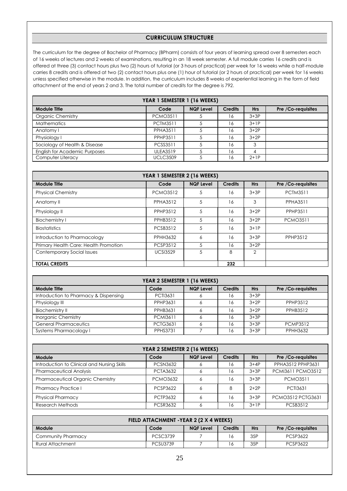#### **CURRICULUM STRUCTURE**

<span id="page-25-0"></span>The curriculum for the degree of Bachelor of Pharmacy (BPharm) consists of four years of learning spread over 8 semesters each of 16 weeks of lectures and 2 weeks of examinations, resulting in an 18 week semester. A full module carries 16 credits and is offered at three (3) contact hours plus two (2) hours of tutorial (or 3 hours of practical) per week for 16 weeks while a half-module carries 8 credits and is offered at two (2) contact hours plus one (1) hour of tutorial (or 2 hours of practical) per week for 16 weeks unless specified otherwise in the module. In addition, the curriculum includes 8 weeks of experiential learning in the form of field attachment at the end of years 2 and 3. The total number of credits for the degree is 792.

| YEAR 1 SEMESTER 1 (16 WEEKS)         |                 |                  |                |            |                    |  |
|--------------------------------------|-----------------|------------------|----------------|------------|--------------------|--|
| <b>Module Title</b>                  | Code            | <b>NQF Level</b> | <b>Credits</b> | <b>Hrs</b> | Pre /Co-requisites |  |
| Organic Chemistry                    | <b>PCMO3511</b> |                  | 16             | $3+3P$     |                    |  |
| <b>Mathematics</b>                   | <b>PCTM3511</b> |                  | 16             | $3+1P$     |                    |  |
| Anatomy I                            | <b>PPHA3511</b> |                  | 16             | $3+2P$     |                    |  |
| Physiology I                         | PPHP3511        |                  | 16             | $3+2P$     |                    |  |
| Sociology of Health & Disease        | <b>PCSS3511</b> |                  | 16             | 3          |                    |  |
| <b>English for Academic Purposes</b> | <b>ULEA3519</b> |                  | 16             | 4          |                    |  |
| Computer Literacy                    | <b>UCLC3509</b> | 5                | 16             | $2+1P$     |                    |  |

| YEAR 1 SEMESTER 2 (16 WEEKS)          |                 |                  |                |            |                    |
|---------------------------------------|-----------------|------------------|----------------|------------|--------------------|
| <b>Module Title</b>                   | Code            | <b>NQF Level</b> | <b>Credits</b> | <b>Hrs</b> | Pre /Co-requisites |
| <b>Physical Chemistry</b>             | <b>PCMO3512</b> | 5                | 16             | $3+3P$     | <b>PCTM3511</b>    |
| Anatomy II                            | <b>PPHA3512</b> | 5                | 16             | 3          | <b>PPHA3511</b>    |
| Physiology II                         | PPHP3512        | 5                | 16             | $3+2P$     | PPHP3511           |
| <b>Biochemistry I</b>                 | PPHB3512        | 5                | 16             | $3+2P$     | <b>PCMO3511</b>    |
| <b>Biostatistics</b>                  | <b>PCSB3512</b> | 5                | 16             | $3+1P$     |                    |
| Introduction to Pharmacology          | <b>PPHH3632</b> | 6                | 16             | $3+3P$     | PPHP3512           |
| Primary Health Care: Health Promotion | <b>PCSP3512</b> | 5                | 16             | $3+2P$     |                    |
| Contemporary Social Issues            | <b>UCSI3529</b> | 5                | 8              | 2          |                    |
| <b>TOTAL CREDITS</b>                  |                 |                  | 232            |            |                    |

| YEAR 2 SEMESTER 1 (16 WEEKS)          |                 |                  |                |            |                    |  |
|---------------------------------------|-----------------|------------------|----------------|------------|--------------------|--|
| <b>Module Title</b>                   | Code            | <b>NQF Level</b> | <b>Credits</b> | <b>Hrs</b> | Pre /Co-requisites |  |
| Introduction to Pharmacy & Dispensing | <b>PCTI3631</b> | Ô                | 16             | $3+3P$     |                    |  |
| Physiology III                        | PPHP3631        | Ô                | 16             | $3+2P$     | PPHP3512           |  |
| Biochemistry II                       | PPHB3631        |                  | 16             | $3+2P$     | PPHB3512           |  |
| <b>Inorganic Chemistry</b>            | <b>PCMI3611</b> | 6                | 16             | $3+3P$     |                    |  |
| <b>General Pharmaceutics</b>          | <b>PCTG3631</b> | Ô                | 16             | $3+3P$     | <b>PCMP3512</b>    |  |
| <b>Systems Pharmacology I</b>         | <b>PPHS3731</b> |                  | 16             | $3+3P$     | <b>PPHH3632</b>    |  |

| YEAR 2 SEMESTER 2 (16 WEEKS)                |                 |                  |                |            |                    |  |
|---------------------------------------------|-----------------|------------------|----------------|------------|--------------------|--|
| Module                                      | Code            | <b>NQF Level</b> | <b>Credits</b> | <b>Hrs</b> | Pre /Co-requisites |  |
| Introduction to Clinical and Nursing Skills | <b>PCSN3632</b> | O                | 16             | $3+4P$     | PPHA3512 PPHP3631  |  |
| <b>Pharmaceutical Analysis</b>              | <b>PCTA3632</b> |                  | 16             | $3+3P$     | PCMI3611 PCMO3512  |  |
| <b>Pharmaceutical Organic Chemistry</b>     | <b>PCMO3632</b> | 6                | 16             | $3+3P$     | <b>PCMO3511</b>    |  |
| <b>Pharmacy Practice I</b>                  | PCSP3622        | 6                | 8              | $2+2P$     | <b>PCTI3631</b>    |  |
| <b>Physical Pharmacy</b>                    | PCTP3632        | 6                | 16             | $3+3P$     | PCMO3512 PCTG3631  |  |
| Research Methods                            | <b>PCSR3632</b> | Ô                | 16             | $3+1P$     | <b>PCSB3512</b>    |  |

| FIELD ATTACHMENT - YEAR 2 (2 X 4 WEEKS)                                                         |                 |  |    |     |          |  |  |
|-------------------------------------------------------------------------------------------------|-----------------|--|----|-----|----------|--|--|
| Module<br><b>Credits</b><br><b>Hrs</b><br>Code<br><b>NQF Level</b><br><b>Pre</b> /Co-requisites |                 |  |    |     |          |  |  |
| Community Pharmacy                                                                              | PCSC3739        |  | 16 | 35P | PCSP3622 |  |  |
| Rural Attachment                                                                                | <b>PCSU3739</b> |  | 16 | 35P | PCSP3622 |  |  |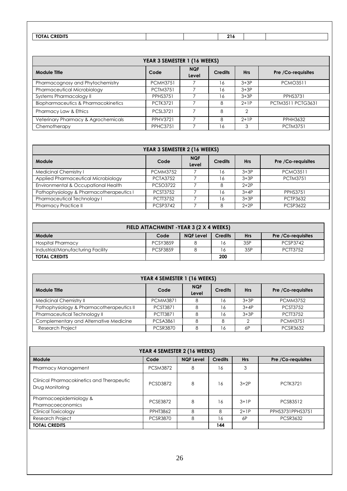| <b>CREDITS</b><br><b>TOTA</b><br>$\cdot$<br>. |  | $\sim$ $\sim$<br>$\sim$ 19 |  |
|-----------------------------------------------|--|----------------------------|--|

| YEAR 3 SEMESTER 1 (16 WEEKS)                   |                 |                     |                |            |                          |
|------------------------------------------------|-----------------|---------------------|----------------|------------|--------------------------|
| <b>Module Title</b>                            | Code            | <b>NQF</b><br>Level | <b>Credits</b> | <b>Hrs</b> | Pre /Co-requisites       |
| Pharmacognosy and Phytochemistry               | <b>PCMH3751</b> |                     | 16             | $3+3P$     | <b>PCMO3511</b>          |
| Pharmaceutical Microbiology                    | <b>PCTM3751</b> |                     | 16             | $3+3P$     |                          |
| Systems Pharmacology II                        | <b>PPHS3751</b> |                     | 16             | $3+3P$     | <b>PPHS3731</b>          |
| <b>Biopharmaceutics &amp; Pharmacokinetics</b> | <b>PCTK3721</b> |                     | 8              | $2+1P$     | <b>PCTM3511 PCTG3631</b> |
| Pharmacy Law & Ethics                          | <b>PCSL3721</b> |                     | 8              | 2          |                          |
| Veterinary Pharmacy & Agrochemicals            | <b>PPHV3721</b> |                     | 8              | $2+1P$     | <b>PPHH3632</b>          |
| Chemotherapy                                   | <b>PPHC3751</b> |                     | 16             | 3          | <b>PCTM3751</b>          |

| YEAR 3 SEMESTER 2 (16 WEEKS)             |                 |                     |                |            |                    |
|------------------------------------------|-----------------|---------------------|----------------|------------|--------------------|
| Module                                   | Code            | <b>NQF</b><br>Level | <b>Credits</b> | <b>Hrs</b> | Pre /Co-requisites |
| Medicinal Chemistry I                    | <b>PCMM3752</b> |                     | 16             | $3+3P$     | <b>PCMO3511</b>    |
| Applied Pharmaceutical Microbiology      | <b>PCTA3752</b> |                     | 16             | $3+3P$     | <b>PCTM3751</b>    |
| Environmental & Occupational Health      | <b>PCSO3722</b> |                     | 8              | $2+2P$     |                    |
| Pathophysiology & Pharmacotherapeutics I | <b>PCST3752</b> |                     | 16             | $3+4P$     | <b>PPHS3751</b>    |
| Pharmaceutical Technology I              | <b>PCTT3752</b> |                     | 16             | $3+3P$     | <b>PCTP3632</b>    |
| <b>Pharmacy Practice II</b>              | <b>PCSP3742</b> |                     | 8              | $2+2P$     | <b>PCSP3622</b>    |

| FIELD ATTACHMENT - YEAR 3 (2 X 4 WEEKS) |                 |                  |                |            |                    |
|-----------------------------------------|-----------------|------------------|----------------|------------|--------------------|
| Module                                  | Code            | <b>NQF Level</b> | <b>Credits</b> | <b>Hrs</b> | Pre /Co-requisites |
| <b>Hospital Pharmacy</b>                | <b>PCSY3859</b> |                  |                | 35P        | <b>PCSP3742</b>    |
| Industrial/Manufacturing Facility       | <b>PCSF3859</b> |                  |                | 35P        | <b>PCTT3752</b>    |
| <b>TOTAL CREDITS</b>                    |                 |                  | 200            |            |                    |

| YEAR 4 SEMESTER 1 (16 WEEKS)              |                 |                     |                |            |                    |
|-------------------------------------------|-----------------|---------------------|----------------|------------|--------------------|
| <b>Module Title</b>                       | Code            | <b>NQF</b><br>Level | <b>Credits</b> | <b>Hrs</b> | Pre /Co-requisites |
| <b>Medicinal Chemistry II</b>             | <b>PCMM3871</b> | 8                   | 16             | $3+3P$     | <b>PCMM3752</b>    |
| Pathophysiology & Pharmacotherapeutics II | <b>PCST3871</b> | 8                   | 16             | $3+4P$     | <b>PCST3752</b>    |
| Pharmaceutical Technology II              | <b>PCTT3871</b> | 8                   | 16             | $3+3P$     | <b>PCTT3752</b>    |
| Complementary and Alternative Medicine    | <b>PCSA3861</b> | 8                   |                |            | <b>PCMH3751</b>    |
| <b>Research Project</b>                   | <b>PCSR3870</b> | 8                   | 16             | 6P         | <b>PCSR3632</b>    |

| YEAR 4 SEMESTER 2 (16 WEEKS)                                 |                 |                  |                |            |                    |
|--------------------------------------------------------------|-----------------|------------------|----------------|------------|--------------------|
| Module                                                       | Code            | <b>NQF Level</b> | <b>Credits</b> | <b>Hrs</b> | Pre /Co-requisites |
| Pharmacy Management                                          | <b>PCSM3872</b> | 8                | 16             | 3          |                    |
| Clinical Pharmacokinetics and Therapeutic<br>Drug Monitoring | <b>PCSD3872</b> | 8                | 16             | $3+2P$     | <b>PCTK3721</b>    |
| Pharmacoepidemiology &<br>Pharmacoeconomics                  | <b>PCSE3872</b> | 8                | 16             | $3+1P$     | <b>PCSB3512</b>    |
| <b>Clinical Toxicology</b>                                   | <b>PPHT3862</b> | 8                | 8              | $2+1P$     | PPHS3731PPHS3751   |
| <b>Research Project</b>                                      | <b>PCSR3870</b> | 8                | 16             | 6P         | <b>PCSR3632</b>    |
| <b>TOTAL CREDITS</b>                                         |                 |                  | 144            |            |                    |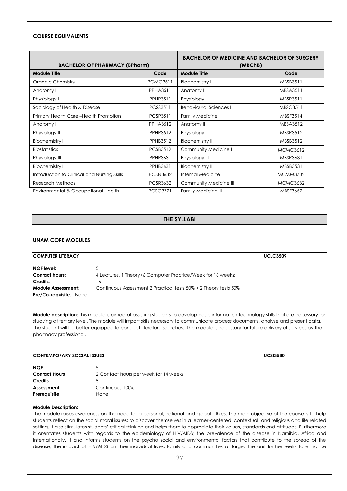#### **COURSE EQUIVALENTS**

| <b>BACHELOR OF PHARMACY (BPharm)</b>        |                 | <b>BACHELOR OF MEDICINE AND BACHELOR OF SURGERY</b><br>(MBChB) |                 |  |
|---------------------------------------------|-----------------|----------------------------------------------------------------|-----------------|--|
| <b>Module Title</b>                         | Code            | Module Title                                                   | Code            |  |
| <b>Organic Chemistry</b>                    | <b>PCMO3511</b> | <b>Biochemistry I</b>                                          | MBSB3511        |  |
| Anatomy I                                   | <b>PPHA3511</b> | Anatomy I                                                      | MBSA3511        |  |
| Physiology I                                | PPHP3511        | Physiology I                                                   | MBSP3511        |  |
| Sociology of Health & Disease               | <b>PCSS3511</b> | <b>Behavioural Sciences I</b>                                  | <b>MBSC3511</b> |  |
| Primary Health Care-Health Promotion        | <b>PCSP3511</b> | <b>Family Medicine I</b>                                       | MBSF3514        |  |
| Anatomy II                                  | <b>PPHA3512</b> | Anatomy II                                                     | MBSA3512        |  |
| Physiology II                               | <b>PPHP3512</b> | Physiology II                                                  | MBSP3512        |  |
| <b>Biochemistry I</b>                       | <b>PPHB3512</b> | <b>Biochemistry II</b>                                         | MBSB3512        |  |
| <b>Biostatistics</b>                        | <b>PCSB3512</b> | Community Medicine I                                           | <b>MCMC3612</b> |  |
| Physiology III                              | <b>PPHP3631</b> | Physiology III                                                 | MBSP3631        |  |
| <b>Biochemistry II</b>                      | <b>PPHB3631</b> | <b>Biochemistry III</b>                                        | MBSB3531        |  |
| Introduction to Clinical and Nursing Skills | <b>PCSN3632</b> | Internal Medicine I                                            | <b>MCMM3732</b> |  |
| Research Methods                            | <b>PCSR3632</b> | Community Medicine III                                         | <b>MCMC3632</b> |  |
| Environmental & Occupational Health         | <b>PCSO3721</b> | <b>Family Medicine III</b>                                     | MBSF3652        |  |

#### **THE SYLLABI**

#### <span id="page-27-1"></span><span id="page-27-0"></span>**UNAM CORE MODULES**

| <b>COMPUTER LITERACY</b>      |                                                                  | <b>UCLC3509</b> |
|-------------------------------|------------------------------------------------------------------|-----------------|
| NQF level:                    |                                                                  |                 |
| <b>Contact hours:</b>         | 4 Lectures, 1 Theory+6 Computer Practice/Week for 16 weeks;      |                 |
| Credits:                      | 16                                                               |                 |
| <b>Module Assessment:</b>     | Continuous Assessment 2 Practical tests 50% + 2 Theory tests 50% |                 |
| <b>Pre/Co-requisite: None</b> |                                                                  |                 |

**Module description:** This module is aimed at assisting students to develop basic information technology skills that are necessary for studying at tertiary level. The module will impart skills necessary to communicate process documents, analyse and present data. The student will be better equipped to conduct literature searches. The module is necessary for future delivery of services by the pharmacy professional.

| <b>CONTEMPORARY SOCIAL ISSUES</b> |                                       | <b>UCSI3580</b> |
|-----------------------------------|---------------------------------------|-----------------|
| <b>NQF</b>                        | C                                     |                 |
| <b>Contact Hours</b>              | 2 Contact hours per week for 14 weeks |                 |
| <b>Credits</b>                    | 8                                     |                 |
| Assessment                        | Continuous 100%                       |                 |
| Prerequisite                      | None                                  |                 |
|                                   |                                       |                 |

#### **Module Description:**

The module raises awareness on the need for a personal, national and global ethics. The main objective of the course is to help students reflect on the social moral issues; to discover themselves in a learner-centered, contextual, and religious and life related setting. It also stimulates students' critical thinking and helps them to appreciate their values, standards and attitudes. Furthermore it orientates students with regards to the epidemiology of HIV/AIDS; the prevalence of the disease in Namibia, Africa and Internationally. It also informs students on the psycho social and environmental factors that contribute to the spread of the disease, the impact of HIV/AIDS on their individual lives, family and communities at large. The unit further seeks to enhance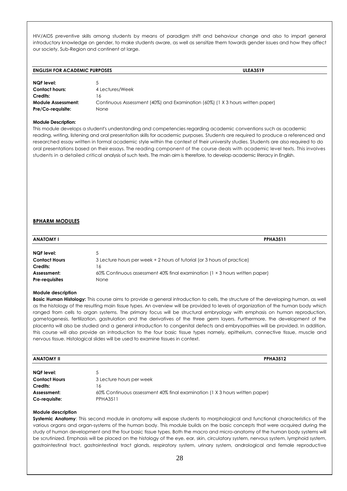HIV/AIDS preventive skills among students by means of paradigm shift and behaviour change and also to impart general introductory knowledge on gender, to make students aware, as well as sensitize them towards gender issues and how they affect our society, Sub-Region and continent at large.

#### **ENGLISH FOR ACADEMIC PURPOSES ULEA3519**

| <b>NQF</b> level:         | 5.                                                                            |
|---------------------------|-------------------------------------------------------------------------------|
| <b>Contact hours:</b>     | 4 Lectures/Week                                                               |
| Credits:                  | -6                                                                            |
| <b>Module Assessment:</b> | Continuous Assessment (40%) and Examination (60%) (1 X 3 hours written paper) |
| Pre/Co-requisite:         | None                                                                          |

#### **Module Description:**

<span id="page-28-0"></span>This module develops a student's understanding and competencies regarding academic conventions such as academic reading, writing, listening and oral presentation skills for academic purposes. Students are required to produce a referenced and researched essay written in formal academic style within the context of their university studies. Students are also required to do oral presentations based on their essays. The reading component of the course deals with academic level texts. This involves students in a detailed critical analysis of such texts. The main aim is therefore, to develop academic literacy in English.

#### **BPHARM MODULES**

| <b>ANATOMY I</b>      | <b>PPHA3511</b>                                                                    |
|-----------------------|------------------------------------------------------------------------------------|
|                       |                                                                                    |
| NQF level:            |                                                                                    |
| <b>Contact Hours</b>  | 3 Lecture hours per week + 2 hours of tutorial (or 3 hours of practice)            |
| Credits:              | 16                                                                                 |
| Assessment:           | 60% Continuous assessment 40% final examination (1 $\times$ 3 hours written paper) |
| <b>Pre-requisites</b> | None                                                                               |

#### **Module description**

**Basic Human Histology:** This course aims to provide a general introduction to cells, the structure of the developing human, as well as the histology of the resulting main tissue types. An overview will be provided to levels of organization of the human body which ranged from cells to organ systems. The primary focus will be structural embryology with emphasis on human reproduction, gametogenesis, fertilization, gastrulation and the derivatives of the three germ layers. Furthermore, the development of the placenta will also be studied and a general introduction to congenital defects and embryopathies will be provided. In addition, this course will also provide an introduction to the four basic tissue types namely, epithelium, connective tissue, muscle and nervous tissue. Histological slides will be used to examine tissues in context.

| <b>II YMOTANA</b>    | <b>PPHA3512</b>                                                             |  |
|----------------------|-----------------------------------------------------------------------------|--|
| NQF level:           | 5                                                                           |  |
| <b>Contact Hours</b> | 3 Lecture hours per week                                                    |  |
| Credits:             | 16                                                                          |  |
| Assessment:          | 60% Continuous assessment 40% final examination (1 X 3 hours written paper) |  |
| Co-requisite:        | <b>PPHA3511</b>                                                             |  |

#### **Module description**

**Systemic Anatomy**: This second module in anatomy will expose students to morphological and functional characteristics of the various organs and organ-systems of the human body. This module builds on the basic concepts that were acquired during the study of human development and the four basic tissue types. Both the macro and micro-anatomy of the human body systems will be scrutinized. Emphasis will be placed on the histology of the eye, ear, skin, circulatory system, nervous system, lymphoid system, gastrointestinal tract, gastrointestinal tract glands, respiratory system, urinary system, andrological and female reproductive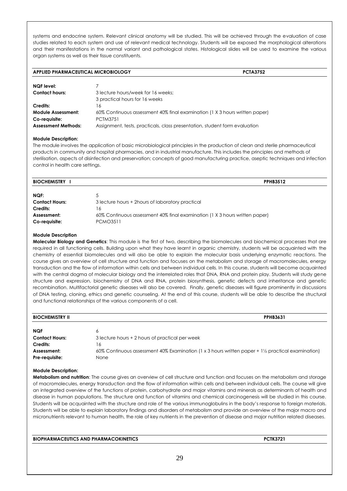systems and endocrine system. Relevant clinical anatomy will be studied. This will be achieved through the evaluation of case studies related to each system and use of relevant medical technology. Students will be exposed the morphological alterations and their manifestations in the normal variant and pathological states. Histological slides will be used to examine the various organ systems as well as their tissue constituents.

| <b>APPLIED PHARMACEUTICAL MICROBIOLOGY</b> | <b>PCTA3752</b> |
|--------------------------------------------|-----------------|
|--------------------------------------------|-----------------|

| <b>NQF</b> level:          |                                                                             |
|----------------------------|-----------------------------------------------------------------------------|
| <b>Contact hours:</b>      | 3 lecture hours/week for 16 weeks:                                          |
|                            | 3 practical hours for 16 weeks                                              |
| Credits:                   | 16                                                                          |
| <b>Module Assessment:</b>  | 60% Continuous assessment 40% final examination (1 X 3 hours written paper) |
| Co-reauisite:              | <b>PCTM3751</b>                                                             |
| <b>Assessment Methods:</b> | Assignment, tests, practicals, class presentation, student form evaluation  |

#### **Module Description:**

The module involves the application of basic microbiological principles in the production of clean and sterile pharmaceutical products in community and hospital pharmacies, and in industrial manufacture. This includes the principles and methods of sterilisation, aspects of disinfection and preservation; concepts of good manufacturing practice, aseptic techniques and infection control in health care settings.

| <b>BIOCHEMISTRY</b>   | <b>PPHB3512</b>                                                             |
|-----------------------|-----------------------------------------------------------------------------|
| NQF:                  | ა                                                                           |
| <b>Contact Hours:</b> | 3 lecture hours + 2 hours of laboratory practical                           |
| Credits:              | 16                                                                          |
| Assessment:           | 60% Continuous assessment 40% final examination (1 X 3 hours written paper) |
| Co-requisite:         | <b>PCMO3511</b>                                                             |

#### **Module Description**

**Molecular Biology and Genetics**: This module is the first of two, describing the biomolecules and biochemical processes that are required in all functioning cells. Building upon what they have learnt in organic chemistry, students will be acquainted with the chemistry of essential biomolecules and will also be able to explain the molecular basis underlying enzymatic reactions. The course gives an overview of cell structure and function and focuses on the metabolism and storage of macromolecules, energy transduction and the flow of information within cells and between individual cells. In this course, students will become acquainted with the central dogma of molecular biology and the interrelated roles that DNA, RNA and protein play. Students will study gene structure and expression, biochemistry of DNA and RNA, protein biosynthesis, genetic defects and inheritance and genetic recombination. Multifactorial genetic diseases will also be covered. Finally, genetic diseases will figure prominently in discussions of DNA testing, cloning, ethics and genetic counseling. At the end of this course, students will be able to describe the structural and functional relationships of the various components of a cell.

| <b>BIOCHEMISTRY II</b> | <b>PPHB3631</b>                                                                                     |
|------------------------|-----------------------------------------------------------------------------------------------------|
|                        |                                                                                                     |
| <b>NQF</b>             | 6                                                                                                   |
| <b>Contact Hours:</b>  | 3 lecture hours + 2 hours of practical per week                                                     |
| Credits:               | 16                                                                                                  |
| Assessment:            | 60% Continuous assessment 40% Examination (1 x 3 hours written paper + 1 1/2 practical examination) |
| Pre-requisite:         | None                                                                                                |

#### **Module Description:**

**Metabolism and nutrition**: The course gives an overview of cell structure and function and focuses on the metabolism and storage of macromolecules, energy transduction and the flow of information within cells and between individual cells. The course will give an integrated overview of the functions of protein, carbohydrate and major vitamins and minerals as determinants of health and disease in human populations. The structure and function of vitamins and chemical carcinogenesis will be studied in this course. Students will be acquainted with the structure and role of the various immunoglobulins in the body's response to foreign materials. Students will be able to explain laboratory findings and disorders of metabolism and provide an overview of the major macro and micronutrients relevant to human health, the role of key nutrients in the prevention of disease and major nutrition related diseases.

**BIOPHARMACEUTICS AND PHARMACOKINETICS PCTK3721**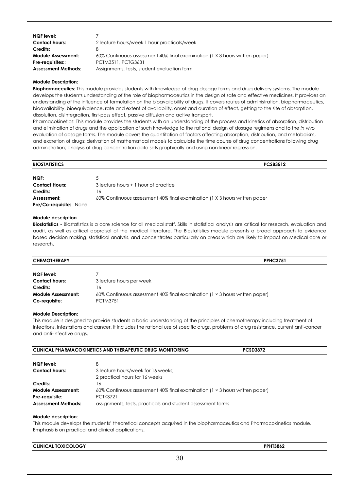| NQF level:                 |                                                                             |
|----------------------------|-----------------------------------------------------------------------------|
| <b>Contact hours:</b>      | 2 lecture hours/week 1 hour practicals/week                                 |
| Credits:                   |                                                                             |
| <b>Module Assessment:</b>  | 60% Continuous assessment 40% final examination (1 X 3 hours written paper) |
| Pre-requisites::           | PCTM3511, PCTG3631                                                          |
| <b>Assessment Methods:</b> | Assignments, tests, student evaluation form                                 |

**Biopharmaceutics:** This module provides students with knowledge of drug dosage forms and drug delivery systems. The module develops the students understanding of the role of biopharmaceutics in the design of safe and effective medicines. It provides an understanding of the influence of formulation on the bioavailability of drugs. It covers routes of administration, biopharmaceutics, bioavailability, bioequivalence, rate and extent of availability, onset and duration of effect, getting to the site of absorption, dissolution, disintegration, first-pass effect, passive diffusion and active transport.

Pharmacokinetics: This module provides the students with an understanding of the process and kinetics of absorption, distribution and elimination of drugs and the application of such knowledge to the rational design of dosage regimens and to the *in vivo* evaluation of dosage forms. The module covers the quantitation of factors affecting absorption, distribution, and metabolism, and excretion of drugs; derivation of mathematical models to calculate the time course of drug concentrations following drug administration; analysis of drug concentration data sets graphically and using non-linear regression.

| <b>BIOSTATISTICS</b>                         | <b>PCSB3512</b>                                                            |  |
|----------------------------------------------|----------------------------------------------------------------------------|--|
| NQF:                                         |                                                                            |  |
| <b>Contact Hours:</b>                        | 3 lecture hours + 1 hour of practice                                       |  |
| Credits:                                     | 16                                                                         |  |
| Assessment:<br><b>Pre/Co-requisite: None</b> | 60% Continuous assessment 40% final examination (1 X 3 hours written paper |  |

#### **Module description**

**Biostatistics -** Biostatistics is a core science for all medical staff. Skills in statistical analysis are critical for research, evaluation and audit, as well as critical appraisal of the medical literature. The Biostatistics module presents a broad approach to evidence based decision making, statistical analysis, and concentrates particularly on areas which are likely to impact on Medical care or research.

| <b>CHEMOTHERAPY</b>       | <b>PPHC3751</b>                                                                     |
|---------------------------|-------------------------------------------------------------------------------------|
| <b>NQF</b> level:         |                                                                                     |
| <b>Contact hours:</b>     | 3 lecture hours per week                                                            |
| Credits:                  | 6                                                                                   |
| <b>Module Assessment:</b> | 60% Continuous assessment 40% final examination ( $1 \times 3$ hours written paper) |
| Co-requisite:             | <b>PCTM3751</b>                                                                     |

#### **Module Description:**

This module is designed to provide students a basic understanding of the principles of chemotherapy including treatment of infections, infestations and cancer. It includes the rational use of specific drugs, problems of drug resistance, current anti-cancer and anti-infective drugs.

|                            | <b>CLINICAL PHARMACOKINETICS AND THERAPEUTIC DRUG MONITORING</b>                                                                                                             | <b>PCSD3872</b> |
|----------------------------|------------------------------------------------------------------------------------------------------------------------------------------------------------------------------|-----------------|
| <b>NQF</b> level:          | 8                                                                                                                                                                            |                 |
| <b>Contact hours:</b>      | 3 lecture hours/week for 16 weeks:                                                                                                                                           |                 |
|                            | 2 practical hours for 16 weeks                                                                                                                                               |                 |
| Credits:                   | 16                                                                                                                                                                           |                 |
| <b>Module Assessment:</b>  | 60% Continuous assessment 40% final examination (1 × 3 hours written paper)                                                                                                  |                 |
| Pre-requisite:             | <b>PCTK3721</b>                                                                                                                                                              |                 |
| <b>Assessment Methods:</b> | assignments, tests, practicals and student assessment forms                                                                                                                  |                 |
| Module description:        | This module develops the students' theoretical concepts acquired in the biopharmaceutics and Pharmacokinetics module.<br>Emphasis is on practical and clinical applications. |                 |

#### **CLINICAL TOXICOLOGY PPHT3862**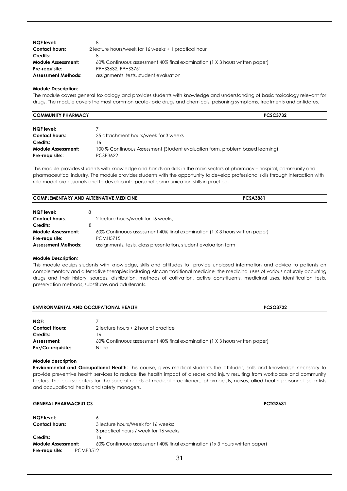| NQF level:                 | 8                                                                           |
|----------------------------|-----------------------------------------------------------------------------|
| <b>Contact hours:</b>      | 2 lecture hours/week for 16 weeks + 1 practical hour                        |
| Credits:                   | 8                                                                           |
| <b>Module Assessment:</b>  | 60% Continuous assessment 40% final examination (1 X 3 hours written paper) |
| Pre-requisite:             | PPHS3632, PPHS3751                                                          |
| <b>Assessment Methods:</b> | assignments, tests, student evaluation                                      |

The module covers general toxicology and provides students with knowledge and understanding of basic toxicology relevant for drugs. The module covers the most common acute-toxic drugs and chemicals, poisoning symptoms, treatments and antidotes.

| <b>COMMUNITY PHARMACY</b> | $\sim$<br>732 |
|---------------------------|---------------|
|                           |               |

| NQF level:                |                                                                               |
|---------------------------|-------------------------------------------------------------------------------|
| <b>Contact hours:</b>     | 35 attachment hours/week for 3 weeks                                          |
| Credits:                  | 16                                                                            |
| <b>Module Assessment:</b> | 100 % Continuous Assessment (Student evaluation form, problem based learning) |
| Pre-reauisite::           | PCSP3622                                                                      |

This module provides students with knowledge and hands-on skills in the main sectors of pharmacy – hospital, community and pharmaceutical industry. The module provides students with the opportunity to develop professional skills through interaction with role model professionals and to develop interpersonal communication skills in practice**.** 

| <b>COMPLEMENTARY AND ALTERNATIVE MEDICINE</b> | CSA3867 |  |  |
|-----------------------------------------------|---------|--|--|
|                                               |         |  |  |

| <b>NQF</b> level:          |                                                                             |
|----------------------------|-----------------------------------------------------------------------------|
| <b>Contact hours:</b>      | 2 lecture hours/week for 16 weeks:                                          |
| Credits:                   |                                                                             |
| <b>Module Assessment:</b>  | 60% Continuous assessment 40% final examination (1 X 3 hours written paper) |
| Pre-reauisite:             | <b>PCMH5715</b>                                                             |
| <b>Assessment Methods:</b> | assignments, tests, class presentation, student evaluation form             |

#### **Module Description**:

This module equips students with knowledge, skills and attitudes to provide unbiased information and advice to patients on complementary and alternative therapies including African traditional medicine the medicinal uses of various naturally occurring drugs and their history, sources, distribution, methods of cultivation, active constituents, medicinal uses, identification tests, preservation methods, substitutes and adulterants.

| <b>ENVIRONMENTAL AND OCCUPATIONAL HEALTH</b> |                                                                             | <b>PCSO3722</b> |
|----------------------------------------------|-----------------------------------------------------------------------------|-----------------|
| NQF:                                         |                                                                             |                 |
| <b>Contact Hours:</b>                        | 2 lecture hours + 2 hour of practice                                        |                 |
| Credits:                                     | 16                                                                          |                 |
| Assessment:                                  | 60% Continuous assessment 40% final examination (1 X 3 hours written paper) |                 |
| Pre/Co-requisite:                            | None                                                                        |                 |

#### **Module description**

**Environmental and Occupational Health**: This course, gives medical students the attitudes, skills and knowledge necessary to provide preventive health services to reduce the health impact of disease and injury resulting from workplace and community factors. The course caters for the special needs of medical practitioners, pharmacists, nurses, allied health personnel, scientists and occupational health and safety managers.

| <b>GENERAL PHARMACEUTICS</b> | <b>PCTG3631</b>                                                            |
|------------------------------|----------------------------------------------------------------------------|
| <b>NQF</b> level:            | 6                                                                          |
| <b>Contact hours:</b>        | 3 lecture hours/Week for 16 weeks:                                         |
|                              | 3 practical hours / week for 16 weeks                                      |
| <b>Credits:</b>              | 16                                                                         |
| <b>Module Assessment:</b>    | 60% Continuous assessment 40% final examination (1x 3 Hours written paper) |
| Pre-requisite:               | <b>PCMP3512</b>                                                            |
|                              | 31                                                                         |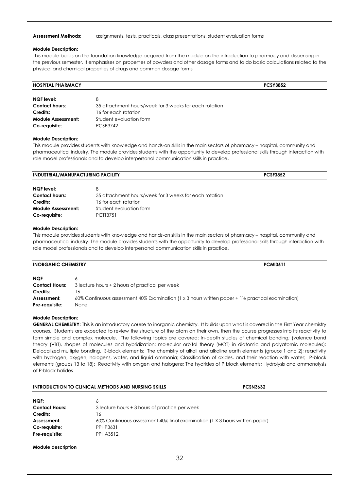#### **Assessment Methods:** assignments, tests, practicals, class presentations, student evaluation forms

#### **Module Description:**

This module builds on the foundation knowledge acquired from the module on the introduction to pharmacy and dispensing in the previous semester. It emphasises on properties of powders and other dosage forms and to do basic calculations related to the physical and chemical properties of drugs and common dosage forms

| <b>HOSPITAL PHARMACY</b>  |                                                        | <b>PCSY3852</b> |
|---------------------------|--------------------------------------------------------|-----------------|
| NQF level:                |                                                        |                 |
| <b>Contact hours:</b>     | 35 attachment hours/week for 3 weeks for each rotation |                 |
| Credits:                  | 16 for each rotation                                   |                 |
| <b>Module Assessment:</b> | Student evaluation form                                |                 |

#### **Module Description:**

**Co-requisite:** PCSP3742

This module provides students with knowledge and hands-on skills in the main sectors of pharmacy – hospital, community and pharmaceutical industry. The module provides students with the opportunity to develop professional skills through interaction with role model professionals and to develop interpersonal communication skills in practice**.** 

| INDUSTRIAL/MANUFACTURING FACILITY |                                                        | <b>PCSF3852</b> |
|-----------------------------------|--------------------------------------------------------|-----------------|
|                                   |                                                        |                 |
| NQF level:                        | 8                                                      |                 |
| <b>Contact hours:</b>             | 35 attachment hours/week for 3 weeks for each rotation |                 |
| Credits:                          | 16 for each rotation                                   |                 |
| <b>Module Assessment:</b>         | Student evaluation form                                |                 |
| Co-requisite:                     | <b>PCTT3751</b>                                        |                 |

#### **Module Description:**

This module provides students with knowledge and hands-on skills in the main sectors of pharmacy – hospital, community and pharmaceutical industry. The module provides students with the opportunity to develop professional skills through interaction with role model professionals and to develop interpersonal communication skills in practice**.** 

| <b>INORGANIC CHEMISTRY</b> | <b>PCMI3611</b> |
|----------------------------|-----------------|
|                            |                 |

| <b>NQF</b>            |                                                                                                              |
|-----------------------|--------------------------------------------------------------------------------------------------------------|
| <b>Contact Hours:</b> | 3 lecture hours + 2 hours of practical per week                                                              |
| Credits:              |                                                                                                              |
| Assessment:           | 60% Continuous assessment 40% Examination (1 x 3 hours written paper + $1\frac{1}{2}$ practical examination) |
| Pre-requisite:        | None                                                                                                         |

#### **Module Description:**

**GENERAL CHEMISTRY:** This is an introductory course to inorganic chemistry. It builds upon what is covered in the First Year chemistry courses. Students are expected to review the structure of the atom on their own, then the course progresses into its reactivity to form simple and complex molecule. The following topics are covered: In-depth studies of chemical bonding; (valence bond theory (VBT), shapes of molecules and hybridization; molecular orbital theory (MOT) in diatomic and polyatomic molecules); Delocalized multiple bonding. S-block elements: The chemistry of alkali and alkaline earth elements (groups 1 and 2); reactivity with hydrogen, oxygen, halogens, water, and liquid ammonia; Classification of oxides, and their reaction with water; P-block elements (groups 13 to 18): Reactivity with oxygen and halogens; The hydrides of P block elements; Hydrolysis and ammonolysis of P-block halides

| <b>INTRODUCTION TO CLINICAL METHODS AND NURSING SKILLS</b> |                                                                             | <b>PCSN3632</b> |  |
|------------------------------------------------------------|-----------------------------------------------------------------------------|-----------------|--|
| NQF:                                                       | 6                                                                           |                 |  |
| <b>Contact Hours:</b>                                      | 3 lecture hours + 3 hours of practice per week                              |                 |  |
| Credits:                                                   | 16                                                                          |                 |  |
| Assessment:                                                | 60% Continuous assessment 40% final examination (1 X 3 hours written paper) |                 |  |
| Co-requisite:                                              | PPHP3631                                                                    |                 |  |
| Pre-requisite:                                             | PPHA3512.                                                                   |                 |  |
|                                                            |                                                                             |                 |  |

**Module description**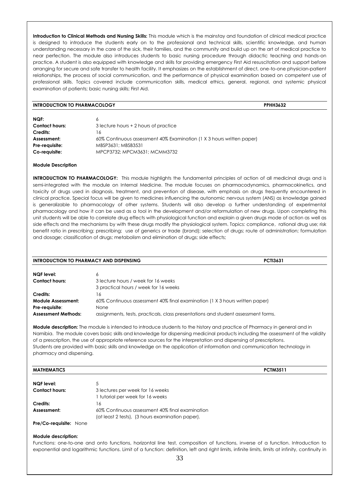**Introduction to Clinical Methods and Nursing Skills:** This module which is the mainstay and foundation of clinical medical practice is designed to introduce the students early on to the professional and technical skills, scientific knowledge, and human understanding necessary in the care of the sick, their families, and the community and build up on the art of medical practice to near perfection. The module also introduces students to basic nursing procedure through didactic teaching and hands-on practice. A student is also equipped with knowledge and skills for providing emergency First Aid resuscitation and support before arranging for secure and safe transfer to health facility. It emphasizes on the establishment of direct, one-to-one physician-patient relationships, the process of social communication, and the performance of physical examination based on competent use of professional skills. Topics covered include communication skills, medical ethics, general, regional, and systemic physical examination of patients; basic nursing skills; First Aid.

#### **INTRODUCTION TO PHARMACOLOGY PPHH3632**

| NQF:                  |                                                                       |
|-----------------------|-----------------------------------------------------------------------|
| <b>Contact hours:</b> | 3 lecture hours + 2 hours of practice                                 |
| Credits:              | 16                                                                    |
| Assessment:           | 60% Continuous assessment 40% Examination (1 X 3 hours written paper) |
| Pre-requisite:        | MBSP3631: MBSB3531                                                    |
| Co-requisite:         | MPCP3732: MPCM3631: MCMM3732                                          |

#### **Module Description**

**INTRODUCTION TO PHARMACOLOGY:** This module highlights the fundamental principles of action of all medicinal drugs and is semi-integrated with the module on Internal Medicine. The module focuses on pharmacodynamics, pharmacokinetics, and toxicity of drugs used in diagnosis, treatment, and prevention of disease, with emphasis on drugs frequently encountered in clinical practice. Special focus will be given to medicines influencing the autonomic nervous system (ANS) as knowledge gained is generalizable to pharmacology of other systems. Students will also develop a further understanding of experimental pharmacology and how it can be used as a tool in the development and/or reformulation of new drugs. Upon completing this unit students will be able to correlate drug effects with physiological function and explain a given drugs mode of action as well as side effects and the mechanisms by with these drugs modify the physiological system. Topics: compliance, rational drug use; risk benefit ratio in prescribing; prescribing; use of generics or trade (brand); selection of drugs; route of administration; formulation and dosage; classification of drugs; metabolism and elimination of drugs; side effects;

| <b>INTRODUCTION TO PHARMACY AND DISPENSING</b> |                                                                                   | <b>PCTI3631</b> |
|------------------------------------------------|-----------------------------------------------------------------------------------|-----------------|
| <b>NQF</b> level:                              | 6                                                                                 |                 |
| <b>Contact hours:</b>                          | 3 lecture hours / week for 16 weeks                                               |                 |
|                                                | 3 practical hours / week for 16 weeks                                             |                 |
| Credits:                                       | 16                                                                                |                 |
| <b>Module Assessment:</b>                      | 60% Continuous assessment 40% final examination (1 X 3 hours written paper)       |                 |
| Pre-requisite:                                 | <b>None</b>                                                                       |                 |
| <b>Assessment Methods:</b>                     | assignments, tests, practicals, class presentations and student assessment forms. |                 |

**Module description:** The module is intended to introduce students to the history and practice of Pharmacy in general and in Namibia. The module covers basic skills and knowledge for dispensing medicinal products including the assessment of the validity of a prescription, the use of appropriate reference sources for the interpretation and dispensing of prescriptions. Students are provided with basic skills and knowledge on the application of information and communication technology in pharmacy and dispensing.

#### **MATHEMATICS PCTM3511**

| NQF level:            | 5                                                |
|-----------------------|--------------------------------------------------|
| <b>Contact hours:</b> | 3 lectures per week for 16 weeks                 |
|                       | 1 tutorial per week for 16 weeks                 |
| Credits:              | 16                                               |
| Assessment:           | 60% Continuous assessment 40% final examination  |
|                       | (at least 2 tests), (3 hours examination paper). |

**Pre/Co-requisite:** None

#### **Module description:**

Functions: one-to-one and onto functions, horizontal line test, composition of functions, inverse of a function. Introduction to exponential and logarithmic functions. Limit of a function: definition, left and right limits, infinite limits, limits at infinity, continuity in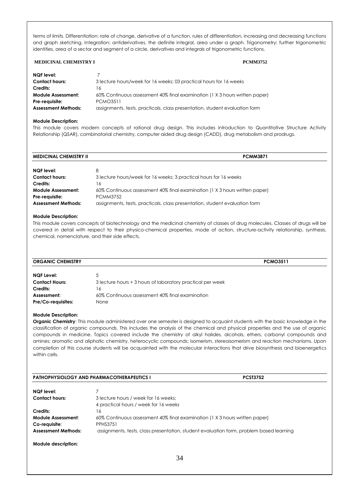terms of limits. Differentiation: rate of change, derivative of a function, rules of differentiation, increasing and decreasing functions and graph sketching. Integration: antiderivatives, the definite integral, area under a graph. Trigonometry: further trigonometric identities, area of a sector and segment of a circle, derivatives and integrals of trigonometric functions.

#### **MEDICINAL CHEMISTRY I PCMM3752**

| <b>NQF</b> level:          |                                                                             |
|----------------------------|-----------------------------------------------------------------------------|
| <b>Contact hours:</b>      | 3 lecture hours/week for 16 weeks; 03 practical hours for 16 weeks          |
| Credits:                   | ۰6                                                                          |
| <b>Module Assessment:</b>  | 60% Continuous assessment 40% final examination (1 X 3 hours written paper) |
| Pre-requisite:             | <b>PCMO3511</b>                                                             |
| <b>Assessment Methods:</b> | assignments, tests, practicals, class presentation, student evaluation form |

#### **Module Description:**

This module covers modern concepts of rational drug design. This includes introduction to Quantitative Structure Activity Relationship (QSAR), combinatorial chemistry, computer aided drug design (CADD), drug metabolism and prodrugs.

| <b>MEDICINAL CHEMISTRY II</b> | <b>PCMM3871</b>                                                             |
|-------------------------------|-----------------------------------------------------------------------------|
|                               |                                                                             |
| NQF level:                    | 8                                                                           |
| <b>Contact hours:</b>         | 3 lecture hours/week for 16 weeks; 3 practical hours for 16 weeks           |
| Credits:                      | 16                                                                          |
| <b>Module Assessment:</b>     | 60% Continuous assessment 40% final examination (1 X 3 hours written paper) |
| Pre-requisite:                | <b>PCMM3752</b>                                                             |
| <b>Assessment Methods:</b>    | assignments, tests, practicals, class presentation, student evaluation form |

#### **Module Description:**

This module covers concepts of biotechnology and the medicinal chemistry of classes of drug molecules. Classes of drugs will be covered in detail with respect to their physico-chemical properties, mode of action, structure-activity relationship, synthesis, chemical, nomenclature, and their side effects.

| <b>ORGANIC CHEMISTRY</b>  |                                                            | <b>PCMO3511</b> |
|---------------------------|------------------------------------------------------------|-----------------|
| <b>NQF Level:</b>         | 5                                                          |                 |
| <b>Contact Hours:</b>     | 3 lecture hours + 3 hours of laboratory practical per week |                 |
| Credits:                  | 16                                                         |                 |
| Assessment:               | 60% Continuous assessment 40% final examination            |                 |
| <b>Pre/Co-requisites:</b> | None                                                       |                 |

#### **Module Description:**

**Organic Chemistry**: This module administered over one semester is designed to acquaint students with the basic knowledge in the classification of organic compounds. This includes the analysis of the chemical and physical properties and the use of organic compounds in medicine. Topics covered include the chemistry of alkyl halides, alcohols, ethers, carbonyl compounds and amines; aromatic and aliphatic chemistry, heterocyclic compounds; isomerism, stereoisomerism and reaction mechanisms. Upon completion of this course students will be acquainted with the molecular interactions that drive biosynthesis and bioenergetics within cells.

| <b>PATHOPHYSIOLOGY AND PHARMACOTHERAPEUTICS I</b> |                                                                                                | <b>PCST3752</b> |  |
|---------------------------------------------------|------------------------------------------------------------------------------------------------|-----------------|--|
| NQF level:                                        |                                                                                                |                 |  |
| <b>Contact hours:</b>                             | 3 lecture hours / week for 16 weeks:<br>4 practical hours / week for 16 weeks                  |                 |  |
| Credits:                                          | 16                                                                                             |                 |  |
| Module Assessment:<br>Co-reauisite:               | 60% Continuous assessment 40% final examination (1 X 3 hours written paper)<br><b>PPHS3751</b> |                 |  |
| <b>Assessment Methods:</b>                        | assignments, tests, class presentation, student evaluation form, problem based learning        |                 |  |
| Module description:                               |                                                                                                |                 |  |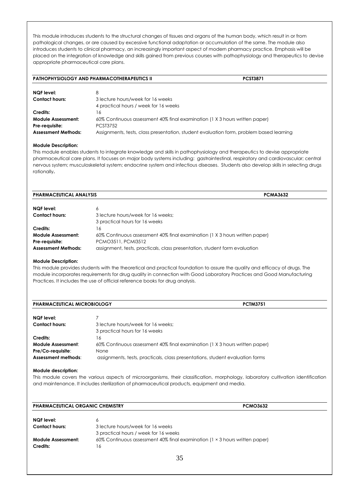This module introduces students to the structural changes of tissues and organs of the human body, which result in or from pathological changes, or are caused by excessive functional adaptation or accumulation of the same. The module also introduces students to clinical pharmacy, an increasingly important aspect of modern pharmacy practice. Emphasis will be placed on the integration of knowledge and skills gained from previous courses with pathophysiology and therapeutics to devise appropriate pharmaceutical care plans.

|                            | <b>PATHOPHYSIOLOGY AND PHARMACOTHERAPEUTICS II</b>                                      | <b>PCST3871</b> |  |
|----------------------------|-----------------------------------------------------------------------------------------|-----------------|--|
| <b>NQF</b> level:          | 8                                                                                       |                 |  |
| <b>Contact hours:</b>      | 3 lecture hours/week for 16 weeks<br>4 practical hours / week for 16 weeks              |                 |  |
| Credits:                   | 16                                                                                      |                 |  |
| <b>Module Assessment:</b>  | 60% Continuous assessment 40% final examination (1 X 3 hours written paper)             |                 |  |
| Pre-requisite:             | <b>PCST3752</b>                                                                         |                 |  |
| <b>Assessment Methods:</b> | Assignments, tests, class presentation, student evaluation form, problem based learning |                 |  |

#### **Module Description:**

This module enables students to integrate knowledge and skills in pathophysiology and therapeutics to devise appropriate pharmaceutical care plans. It focuses on major body systems including: gastrointestinal, respiratory and cardiovascular; central nervous system; musculoskeletal system; endocrine system and infectious diseases. Students also develop skills in selecting drugs rationally**.**

| <b>PHARMACEUTICAL ANALYSIS</b> | <b>PCMA3632</b>                                                             |  |
|--------------------------------|-----------------------------------------------------------------------------|--|
| NQF level:                     | 6                                                                           |  |
| <b>Contact hours:</b>          | 3 lecture hours/week for 16 weeks:<br>3 practical hours for 16 weeks        |  |
| Credits:                       | 16                                                                          |  |
| <b>Module Assessment:</b>      | 60% Continuous assessment 40% final examination (1 X 3 hours written paper) |  |
| Pre-requisite:                 | PCMO3511, PCMI3512                                                          |  |
| <b>Assessment Methods:</b>     | assignment, tests, practicals, class presentation, student form evaluation  |  |

#### **Module Description:**

This module provides students with the theoretical and practical foundation to assure the quality and efficacy of drugs. The module incorporates requirements for drug quality in connection with Good Laboratory Practices and Good Manufacturing Practices. It includes the use of official reference books for drug analysis.

| <b>PHARMACEUTICAL MICROBIOLOGY</b>                             | <b>PCTM3751</b>                                                                                                                                                      |
|----------------------------------------------------------------|----------------------------------------------------------------------------------------------------------------------------------------------------------------------|
| <b>NQF</b> level:                                              |                                                                                                                                                                      |
| <b>Contact hours:</b>                                          | 3 lecture hours/week for 16 weeks:<br>3 practical hours for 16 weeks                                                                                                 |
| Credits:                                                       | 16                                                                                                                                                                   |
| Module Assessment:<br>Pre/Co-requisite:<br>Assessment methods: | 60% Continuous assessment 40% final examination (1 X 3 hours written paper)<br>None<br>assignments, tests, practicals, class presentations, student evaluation forms |

#### **Module description:**

This module covers the various aspects of microorganisms, their classification, morphology, laboratory cultivation identification and maintenance. It includes sterilization of pharmaceutical products, equipment and media.

| <b>PHARMACEUTICAL ORGANIC CHEMISTRY</b> | <b>PCMO3632</b>                                                             |  |
|-----------------------------------------|-----------------------------------------------------------------------------|--|
| <b>NOF level:</b>                       | 6                                                                           |  |
| <b>Contact hours:</b>                   | 3 lecture hours/week for 16 weeks                                           |  |
|                                         | 3 practical hours / week for 16 weeks                                       |  |
| Module Assessment:                      | 60% Continuous assessment 40% final examination (1 × 3 hours written paper) |  |
| Credits:                                | 16                                                                          |  |
|                                         | 35                                                                          |  |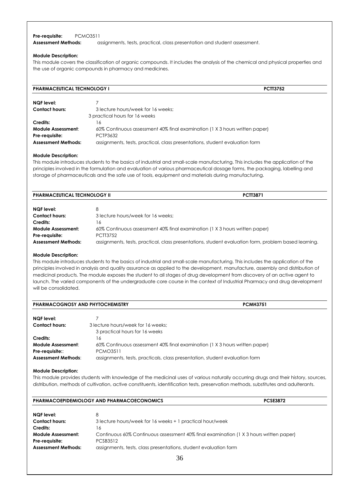#### **Pre-requisite:** PCMO3511

**Assessment Methods:** assignments, tests, practical, class presentation and student assessment.

#### **Module Description:**

This module covers the classification of organic compounds. It includes the analysis of the chemical and physical properties and the use of organic compounds in pharmacy and medicines.

| <b>PHARMACEUTICAL TECHNOLOGY I</b> |                                                                             | <b>PCTT3752</b> |
|------------------------------------|-----------------------------------------------------------------------------|-----------------|
|                                    |                                                                             |                 |
| NQF level:                         |                                                                             |                 |
| <b>Contact hours:</b>              | 3 lecture hours/week for 16 weeks:                                          |                 |
|                                    | 3 practical hours for 16 weeks                                              |                 |
| Credits:                           | 16                                                                          |                 |
| Module Assessment:                 | 60% Continuous assessment 40% final examination (1 X 3 hours written paper) |                 |
| Pre-reauisite:                     | PCTP3632                                                                    |                 |
| <b>Assessment Methods:</b>         | assignments, tests, practical, class presentations, student evaluation form |                 |

#### **Module Description:**

This module introduces students to the basics of industrial and small-scale manufacturing. This includes the application of the principles involved in the formulation and evaluation of various pharmaceutical dosage forms, the packaging, labelling and storage of pharmaceuticals and the safe use of tools, equipment and materials during manufacturing.

| <b>PHARMACEUTICAL TECHNOLOGY II</b> | <b>PCTT3871</b>                                                                                      |
|-------------------------------------|------------------------------------------------------------------------------------------------------|
| <b>NQF</b> level:                   | 8                                                                                                    |
| <b>Contact hours:</b>               | 3 lecture hours/week for 16 weeks:                                                                   |
| Credits:                            | 16                                                                                                   |
| <b>Module Assessment:</b>           | 60% Continuous assessment 40% final examination (1 X 3 hours written paper)                          |
| Pre-reauisite:                      | PCTT3752                                                                                             |
| <b>Assessment Methods:</b>          | assignments, tests, practical, class presentations, student evaluation form, problem based learning. |

#### **Module Description:**

This module introduces students to the basics of industrial and small-scale manufacturing. This includes the application of the principles involved in analysis and quality assurance as applied to the development, manufacture, assembly and distribution of medicinal products. The module exposes the student to all stages of drug development from discovery of an active agent to launch. The varied components of the undergraduate core course in the context of Industrial Pharmacy and drug development will be consolidated.

| <b>PHARMACOGNOSY AND PHYTOCHEMISTRY</b>                                    | <b>PCMH3751</b>                                                                                                                                                               |
|----------------------------------------------------------------------------|-------------------------------------------------------------------------------------------------------------------------------------------------------------------------------|
| NQF level:                                                                 |                                                                                                                                                                               |
| <b>Contact hours:</b>                                                      | 3 lecture hours/week for 16 weeks:<br>3 practical hours for 16 weeks                                                                                                          |
| Credits:                                                                   | 16                                                                                                                                                                            |
| <b>Module Assessment:</b><br>Pre-requisite::<br><b>Assessment Methods:</b> | 60% Continuous assessment 40% final examination (1 X 3 hours written paper)<br><b>PCMO3511</b><br>assignments, tests, practicals, class presentation, student evaluation form |

#### **Module Description:**

This module provides students with knowledge of the medicinal uses of various naturally occurring drugs and their history, sources, distribution, methods of cultivation, active constituents, identification tests, preservation methods, substitutes and adulterants.

| <b>PHARMACOEPIDEMIOLOGY AND PHARMACOECONOMICS</b> | <b>PCSE3872</b> |
|---------------------------------------------------|-----------------|
|---------------------------------------------------|-----------------|

| NQF level:                 | 8                                                                                      |
|----------------------------|----------------------------------------------------------------------------------------|
| <b>Contact hours:</b>      | 3 lecture hours/week for 16 weeks + 1 practical hour/week                              |
| Credits:                   | 16                                                                                     |
| <b>Module Assessment:</b>  | Continuous 60% Continuous assessment 40% final examination (1 X 3 hours written paper) |
| Pre-requisite:             | PCSB3512                                                                               |
| <b>Assessment Methods:</b> | assignments, tests, class presentations, student evaluation form                       |
|                            |                                                                                        |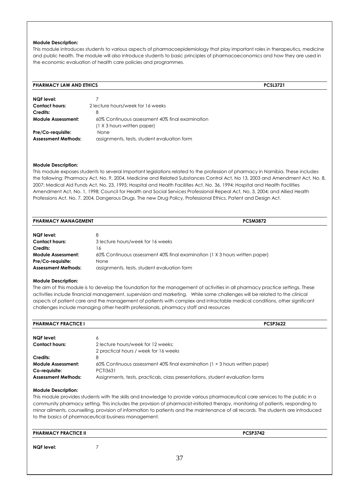This module introduces students to various aspects of pharmacoepidemiology that play important roles in therapeutics, medicine and public health. The module will also introduce students to basic principles of pharmacoeconomics and how they are used in the economic evaluation of health care policies and programmes.

#### **PHARMACY LAW AND ETHICS PCSL3721**

| <b>NQF</b> level:          |                                                 |
|----------------------------|-------------------------------------------------|
| <b>Contact hours:</b>      | 2 lecture hours/week for 16 weeks               |
| Credits:                   | 8                                               |
| <b>Module Assessment:</b>  | 60% Continuous assessment 40% final examination |
|                            | (1 X 3 hours written paper)                     |
| Pre/Co-requisite:          | None                                            |
| <b>Assessment Methods:</b> | assignments, tests, student evaluation form     |

#### **Module Description:**

This module exposes students to several important legislations related to the profession of pharmacy in Namibia. These includes the following: Pharmacy Act, No. 9, 2004, Medicine and Related Substances Control Act, No 13, 2003 and Amendment Act, No. 8, 2007; Medical Aid Funds Act, No. 23, 1995; Hospital and Health Facilities Act, No. 36, 1994; Hospital and Health Facilities Amendment Act, No. 1, 1998; Council for Health and Social Services Professional Repeal Act, No. 3, 2004; and Allied Health Professions Act, No. 7, 2004, Dangerous Drugs. The new Drug Policy, Professional Ethics, Patent and Design Act.

| <b>PHARMACY MANAGEMENT</b> | <b>PCSM3872</b>                                                             |  |
|----------------------------|-----------------------------------------------------------------------------|--|
| <b>NQF</b> level:          | 8                                                                           |  |
| <b>Contact hours:</b>      | 3 lecture hours/week for 16 weeks                                           |  |
| Credits:                   | 6                                                                           |  |
| Module Assessment:         | 60% Continuous assessment 40% final examination (1 X 3 hours written paper) |  |
| Pre/Co-requisite:          | None                                                                        |  |
| <b>Assessment Methods:</b> | assignments, tests, student evaluation form                                 |  |

#### **Module Description:**

The aim of this module is to develop the foundation for the management of activities in all pharmacy practice settings. These activities include financial management, supervision and marketing. While some challenges will be related to the clinical aspects of patient care and the management of patients with complex and intractable medical conditions, other significant challenges include managing other health professionals, pharmacy staff and resources

| <b>PHARMACY PRACTICE I</b>                                               | <b>PCSP3622</b>                                                                                                                                                                 |  |
|--------------------------------------------------------------------------|---------------------------------------------------------------------------------------------------------------------------------------------------------------------------------|--|
| <b>NQF</b> level:                                                        | 6                                                                                                                                                                               |  |
| <b>Contact hours:</b>                                                    | 2 lecture hours/week for 12 weeks:<br>2 practical hours / week for 16 weeks                                                                                                     |  |
| Credits:                                                                 | 8                                                                                                                                                                               |  |
| <b>Module Assessment:</b><br>Co-requisite:<br><b>Assessment Methods:</b> | 60% Continuous assessment 40% final examination (1 × 3 hours written paper)<br><b>PCTI3631</b><br>Assignments, tests, practicals, class presentations, student evaluation forms |  |

#### **Module Description:**

This module provides students with the skills and knowledge to provide various pharmaceutical care services to the public in a community pharmacy setting. This includes the provision of pharmacist-initiated therapy, monitoring of patients, responding to minor ailments, counselling, provision of information to patients and the maintenance of all records. The students are introduced to the basics of pharmaceutical business management.

| <b>PHARMACY PRACTICE II</b> |  |    | <b>PCSP3742</b> |  |
|-----------------------------|--|----|-----------------|--|
| NQF level:                  |  |    |                 |  |
|                             |  | 37 |                 |  |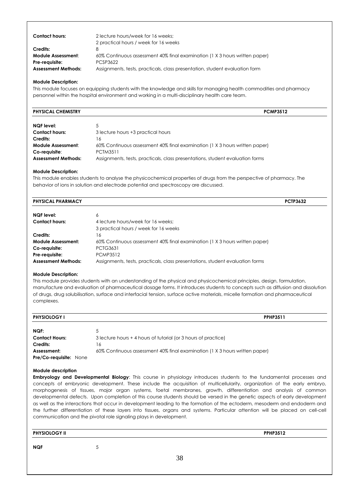| <b>Contact hours:</b>      | 2 lecture hours/week for 16 weeks:<br>2 practical hours / week for 16 weeks |
|----------------------------|-----------------------------------------------------------------------------|
| Credits:                   |                                                                             |
| <b>Module Assessment:</b>  | 60% Continuous assessment 40% final examination (1 X 3 hours written paper) |
| Pre-reauisite:             | PCSP3622                                                                    |
| <b>Assessment Methods:</b> | Assignments, tests, practicals, class presentation, student evaluation form |

This module focuses on equipping students with the knowledge and skills for managing health commodities and pharmacy personnel within the hospital environment and working in a multi-disciplinary health care team.

| <b>PHYSICAL CHEMISTRY</b>  | <b>PCMP3512</b>                                                               |
|----------------------------|-------------------------------------------------------------------------------|
|                            |                                                                               |
| <b>NQF</b> level:          |                                                                               |
| <b>Contact hours:</b>      | 3 lecture hours +3 practical hours                                            |
| Credits:                   | 16                                                                            |
| Module Assessment:         | 60% Continuous assessment 40% final examination (1 X 3 hours written paper)   |
| Co-requisite:              | <b>PCTM3511</b>                                                               |
| <b>Assessment Methods:</b> | Assignments, tests, practicals, class presentations, student evaluation forms |

#### **Module Description:**

This module enables students to analyse the physicochemical properties of drugs from the perspective of pharmacy. The behavior of ions in solution and electrode potential and spectroscopy are discussed.

| <b>PHYSICAL PHARMACY</b>   |                                                                               | <b>PCTP3632</b> |
|----------------------------|-------------------------------------------------------------------------------|-----------------|
| <b>NQF</b> level:          | 6                                                                             |                 |
| <b>Contact hours:</b>      | 4 lecture hours/week for 16 weeks:                                            |                 |
|                            | 3 practical hours / week for 16 weeks                                         |                 |
| Credits:                   | 16                                                                            |                 |
| Module Assessment:         | 60% Continuous assessment 40% final examination (1 X 3 hours written paper)   |                 |
| Co-requisite:              | <b>PCTG3631</b>                                                               |                 |
| Pre-requisite:             | <b>PCMP3512</b>                                                               |                 |
| <b>Assessment Methods:</b> | Assignments, tests, practicals, class presentations, student evaluation forms |                 |

#### **Module Description:**

This module provides students with an understanding of the physical and physicochemical principles, design, formulation, manufacture and evaluation of pharmaceutical dosage forms. It introduces students to concepts such as diffusion and dissolution of drugs, drug solubilisation, surface and interfacial tension, surface active materials, micelle formation and pharmaceutical complexes.

| <b>PHYSIOLOGY I</b>           | <b>PPHP3511</b>                                                             |
|-------------------------------|-----------------------------------------------------------------------------|
| NQF:                          |                                                                             |
| <b>Contact Hours:</b>         | 3 lecture hours + 4 hours of tutorial (or 3 hours of practice)              |
| Credits:                      | 16                                                                          |
| Assessment:                   | 60% Continuous assessment 40% final examination (1 X 3 hours written paper) |
| <b>Pre/Co-requisite: None</b> |                                                                             |

#### **Module description**

**Embryology and Developmental Biology**: This course in physiology introduces students to the fundamental processes and concepts of embryonic development. These include the acquisition of multicellularity, organization of the early embryo, morphogenesis of tissues, major organ systems, foetal membranes, growth, differentiation and analysis of common developmental defects. Upon completion of this course students should be versed in the genetic aspects of early development as well as the interactions that occur in development leading to the formation of the ectoderm, mesoderm and endoderm and the further differentiation of these layers into tissues, organs and systems. Particular attention will be placed on cell-cell communication and the pivotal role signaling plays in development.

| <b>PHYSIOLOGY II</b> | <b>PPHP3512</b> |
|----------------------|-----------------|
|                      |                 |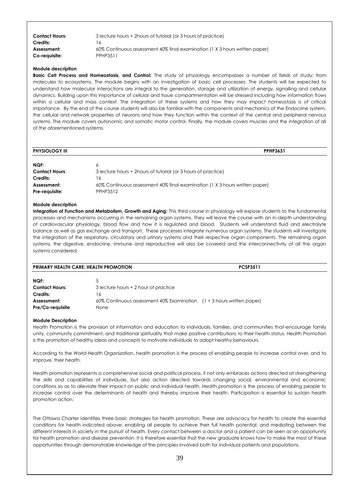| <b>Contact Hours:</b> | 3 lecture hours + 2 hours of tutorial (or 3 hours of practice)              |
|-----------------------|-----------------------------------------------------------------------------|
| Credits:              | 16                                                                          |
| Assessment:           | 60% Continuous assessment 40% final examination (1 X 3 hours written paper) |
| Co-requisite:         | PPHP3511                                                                    |

**Basic Cell Process and Homeostasis, and Control:** The study of physiology encompasses a number of fields of study; from molecules to ecosystems. The module begins with an investigation of basic cell processes. The students will be expected to understand how molecular interactions are integral to the generation, storage and utilization of energy, signalling and cellular dynamics. Building upon this importance of cellular and tissue compartmentation will be stressed including how information flows within a cellular and mass context. The integration of these systems and how they may impact homeostasis is of critical importance. By the end of the course students will also be familiar with the components and mechanics of the Endocrine system, the cellular and network properties of neurons and how they function within the context of the central and peripheral nervous systems. The module covers autonomic and somatic motor control. Finally, the module covers muscles and the integration of all of the aforementioned systems.

| <b>PHYSIOLOGY III</b>         | <b>PPHP3631</b>                                                                         |
|-------------------------------|-----------------------------------------------------------------------------------------|
| NQF:                          | 6                                                                                       |
| <b>Contact Hours:</b>         | 3 lecture hours + 2 hours of tutorial (or 3 hours of practice)                          |
| Credits:                      | 16                                                                                      |
| Assessment:<br>Pre-requisite: | 60% Continuous assessment 40% final examination (1 X 3 hours written paper)<br>PPHP3512 |

#### **Module description**

**Integration of Function and Metabolism, Growth and Aging:** This third course in physiology will expose students to the fundamental processes and mechanisms occurring in the remaining organ systems. They will leave the course with an in-depth understanding of cardiovascular physiology, blood flow and how it is regulated and blood. Students will understand fluid and electrolyte balance as well as gas exchange and transport. These processes integrate numerous organ systems. The students will investigate the integration of the respiratory, circulatory and urinary systems and their respective organ components. The remaining organ systems, the digestive, endocrine, immune and reproductive will also be covered and the interconnectivity of all the organ systems considered.

| <b>PRIMARY HEALTH CARE: HEALTH PROMOTION</b> |                                                                              | <b>PCSP3511</b> |  |
|----------------------------------------------|------------------------------------------------------------------------------|-----------------|--|
| NQF:                                         | C                                                                            |                 |  |
| <b>Contact Hours:</b>                        | 3 lecture hours + 2 hour of practice                                         |                 |  |
| Credits:                                     | 16                                                                           |                 |  |
| Assessment:                                  | 60% Continuous assessment 40% Examination $(1 \times 3$ hours written paper) |                 |  |
| Pre/Co-requisite                             | None                                                                         |                 |  |

#### **Module Description**

Health Promotion is the provision of information and education to individuals, families, and communities that-encourage family unity, community commitment, and traditional spirituality that make positive contributions to their health status. Health Promotion is the promotion of healthy ideas and concepts to motivate individuals to adopt healthy behaviours.

According to the World Health Organization, health promotion is the process of enabling people to increase control over, and to improve, their health.

Health promotion represents a comprehensive social and political process, it not only embraces actions directed at strengthening the skills and capabilities of individuals, but also action directed towards changing social, environmental and economic conditions so as to alleviate their impact on public and individual health. Health promotion is the process of enabling people to increase control over the determinants of health and thereby improve their health. Participation is essential to sustain health promotion action.

The Ottawa Charter identifies three basic strategies for health promotion. These are advocacy for health to create the essential conditions for health indicated above; enabling all people to achieve their full health potential; and mediating between the different interests in society in the pursuit of health. Every contact between a doctor and a patient can be seen as an opportunity for health promotion and disease prevention. It is therefore essential that the new graduate knows how to make the most of these opportunities through demonstrable knowledge of the principles involved both for individual patients and populations.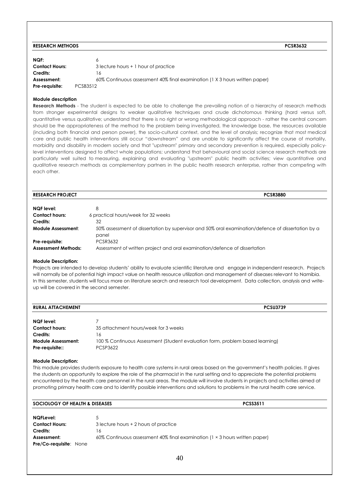#### **RESEARCH METHODS PCSR3632**

| NGF:<br><b>Contact Hours:</b><br>Credits: | 3 lecture hours + 1 hour of practice<br>16                                  |
|-------------------------------------------|-----------------------------------------------------------------------------|
| Assessment:                               | 60% Continuous assessment 40% final examination (1 X 3 hours written paper) |
| Pre-reauisite:                            | PCSB3512                                                                    |

#### **Module description**

**Research Methods** - The student is expected to be able to challenge the prevailing notion of a hierarchy of research methods from stronger experimental designs to weaker qualitative techniques and crude dichotomous thinking (hard versus soft, quantitative versus qualitative; understand that there is no right or wrong methodological approach - rather the central concern should be the appropriateness of the method to the problem being investigated, the knowledge base, the resources available (including both financial and person power), the socio-cultural context, and the level of analysis; recognize that most medical care and public health interventions still occur "downstream" and are unable to significantly affect the course of mortality, morbidity and disability in modern society and that "upstream" primary and secondary prevention is required, especially policylevel interventions designed to affect whole populations; understand that behavioural and social science research methods are particularly well suited to measuring, explaining and evaluating "upstream" public health activities; view quantitative and qualitative research methods as complementary partners in the public health research enterprise, rather than competing with each other.

| <b>RESEARCH PROJECT</b>                      | <b>PCSR3880</b>                                                                                             |
|----------------------------------------------|-------------------------------------------------------------------------------------------------------------|
| <b>NQF</b> level:                            | 8                                                                                                           |
| <b>Contact hours:</b>                        | 6 practical hours/week for 32 weeks                                                                         |
| Credits:                                     | 32                                                                                                          |
| <b>Module Assessment:</b>                    | 50% assessment of dissertation by supervisor and 50% oral examination/defence of dissertation by a<br>panel |
| Pre-requisite:<br><b>Assessment Methods:</b> | PCSR3632<br>Assessment of written project and oral examination/defence of dissertation                      |

#### **Module Description:**

Projects are intended to develop students' ability to evaluate scientific literature and engage in independent research. Projects will normally be of potential high impact value on health resource utilization and management of diseases relevant to Namibia. In this semester, students will focus more on literature search and research tool development. Data collection, analysis and writeup will be covered in the second semester.

| <b>RURAL ATTACHEMENT</b><br><b>PCSU3739</b>  |                                                                                                  |
|----------------------------------------------|--------------------------------------------------------------------------------------------------|
| NQF level:                                   |                                                                                                  |
| <b>Contact hours:</b>                        | 35 attachment hours/week for 3 weeks                                                             |
| Credits:                                     | 16                                                                                               |
| <b>Module Assessment:</b><br>Pre-requisite:: | 100 % Continuous Assessment (Student evaluation form, problem based learning)<br><b>PCSP3622</b> |

#### **Module Description:**

This module provides students exposure to health care systems in rural areas based on the government's health policies. It gives the students an opportunity to explore the role of the pharmacist in the rural setting and to appreciate the potential problems encountered by the health care personnel in the rural areas. The module will involve students in projects and activities aimed at promoting primary health care and to identify possible interventions and solutions to problems in the rural health care service.

| SOCIOLOGY OF HEALTH & DISEASES | <b>PCSS3511</b>                                                                     |
|--------------------------------|-------------------------------------------------------------------------------------|
| <b>NQFLevel:</b>               |                                                                                     |
| <b>Contact Hours:</b>          | 3 lecture hours + 2 hours of practice                                               |
| Credits:                       | 16                                                                                  |
| Assessment:                    | 60% Continuous assessment 40% final examination ( $1 \times 3$ hours written paper) |
| <b>Pre/Co-requisite: None</b>  |                                                                                     |
|                                | $\sim$                                                                              |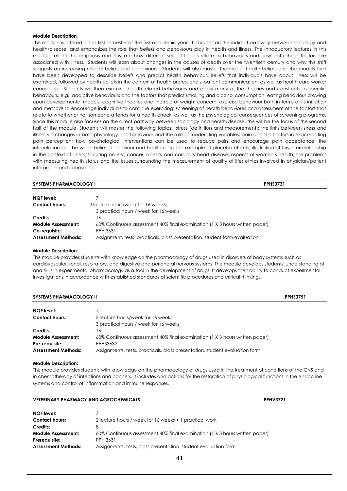This module is offered in the first semester of the first academic year. It focuses on the indirect pathway between sociology and health/disease, and emphasizes the role that *beliefs* and *behaviours* play in health and illness. The introductory lectures in this module reflect this emphasis and illustrate how different sets of beliefs relate to behaviours and how both these factors are associated with illness. Students will learn about changes in the causes of death over the twentieth century and why this shift suggests an increasing role for beliefs and behaviours. Students will also master theories of health beliefs and the models that have been developed to describe beliefs and predict health behaviour. Beliefs that individuals have about illness will be examined, followed by health beliefs in the context of health professionals–patient communication, as well as health care worker counselling. Students will then examine health-related behaviours and apply many of the theories and constructs to specific behaviours, e.g., addictive behaviours and the factors that predict smoking and alcohol consumption; eating behaviour drawing upon developmental models, cognitive theories and the role of weight concern; exercise behaviour both in terms of its initiation and methods to encourage individuals to continue exercising; screening of health behaviours and assessment of the factors that relate to whether or not someone attends for a health check, as well as the psychological consequences of screening programs. Since this module also focuses on the direct pathway between sociology and health/disease, this will be the focus of the second half of the module. Students will master the following topics: stress (definition and measurement); the links between stress and illness via changes in both physiology and behaviour and the role of moderating variables; pain and the factors in exacerbating pain perception; how psychological interventions can be used to reduce pain and encourage pain acceptance; the interrelationships between beliefs, behaviour and health using the example of placebo effects; illustration of this interrelationship in the context of illness, focusing on HIV, cancer, obesity and coronary heart disease; aspects of women's health; the problems with measuring health status and the issues surrounding the measurement of quality of life; ethics involved in physician/patient interaction and counselling.

#### **SYSTEMS PHARMACOLOGY I PPHS3731**

| NQF level:                 |                                                                             |
|----------------------------|-----------------------------------------------------------------------------|
| <b>Contact hours:</b>      | 3 lecture hours/week for 16 weeks:                                          |
|                            | 3 practical hours / week for 16 weeks                                       |
| Credits:                   | 16                                                                          |
| <b>Module Assessment:</b>  | 60% Continuous assessment 40% final examination (1 X 3 hours written paper) |
| Co-requisite:              | PPHI3631                                                                    |
| <b>Assessment Methods:</b> | Assignment, tests, practicals, class presentation, student form evaluation  |

#### **Module Description:**

This module provides students with knowledge on the pharmacology of drugs used in disorders of body systems such as cardiovascular, renal, respiratory, and digestive and peripheral nervous systems. The module develops students' understanding of and skills in experimental pharmacology as a tool in the development of drugs. It develops their ability to conduct experimental investigations in accordance with established standards of scientific procedures and critical thinking.

| <b>SYSTEMS PHARMACOLOGY II</b> |                                                                             | <b>PPHS3751</b> |
|--------------------------------|-----------------------------------------------------------------------------|-----------------|
| NQF level:                     |                                                                             |                 |
| <b>Contact hours:</b>          | 3 lecture hours/week for 16 weeks:                                          |                 |
|                                | 3 practical hours / week for 16 weeks                                       |                 |
| Credits:                       | 6                                                                           |                 |
| Module Assessment:             | 60% Continuous assessment 40% final examination (1 X 3 hours written paper) |                 |
| Pre-requisite::                | <b>PPHS3632</b>                                                             |                 |
| <b>Assessment Methods:</b>     | Assignments, tests, practicals, class presentation, student evaluation form |                 |

#### **Module Description:**

This module provides students with knowledge on the pharmacology of drugs used in the treatment of conditions of the CNS and in chemotherapy of infections and cancers. It includes and actions for the restoration of physiological functions in the endocrine systems and control of inflammation and immune responses.

#### **VETERINARY PHARMACY AND AGROCHEMICALS PPHV3721**

| <b>NQF</b> level:          |                                                                             |
|----------------------------|-----------------------------------------------------------------------------|
| <b>Contact hours:</b>      | 2 lecture hours / week for 16 weeks + 1 practical work                      |
| Credits:                   |                                                                             |
| <b>Module Assessment:</b>  | 60% Continuous assessment 40% final examination (1 X 3 hours written paper) |
| Prerequisite:              | <b>PPHI3631</b>                                                             |
| <b>Assessment Methods:</b> | Assignments, tests, class presentation, student evaluation form             |